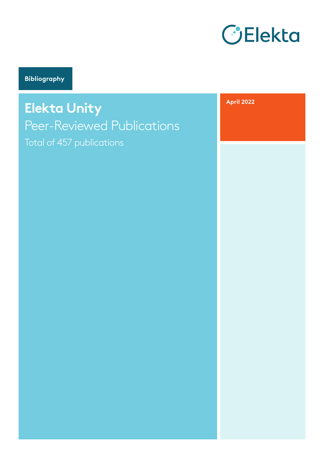

**Bibliography**

**Elekta Unity**  Peer-Reviewed Publications Total of 457 publications

**April 2022**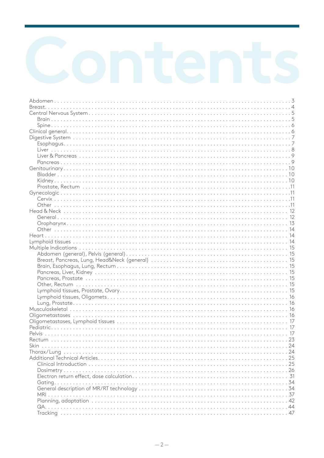| Trackina | $\Delta$ 7 |
|----------|------------|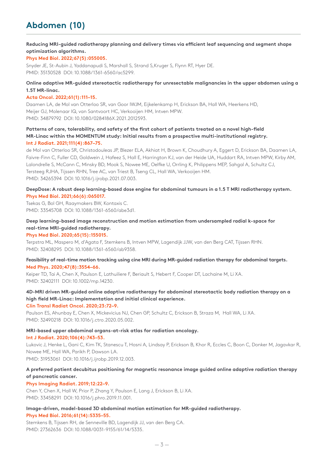# **Abdomen (10)**

# **Reducing MRI-guided radiotherapy planning and delivery times via efficient leaf sequencing and segment shape optimization algorithms.**

# **Phys Med Biol. 2022;67(5):055005.**

Snyder JE, St-Aubin J, Yaddanapudi S, Marshall S, Strand S,Kruger S, Flynn RT, Hyer DE. PMID: 35130528 DOI: 10.1088/1361-6560/ac5299.

# **Online adaptive MR-guided stereotactic radiotherapy for unresectable malignancies in the upper abdomen using a 1.5T MR-linac.**

## **Acta Oncol. 2022;61(1):111–15.**

Daamen LA, de Mol van Otterloo SR, van Goor IWJM, Eijkelenkamp H, Erickson BA, Hall WA, Heerkens HD, Meijer GJ, Molenaar IQ, van Santvoort HC, Verkooijen HM, Intven MPW. PMID: 34879792 DOI: 10.1080/0284186X.2021.2012593.

# **Patterns of care, tolerability, and safety of the first cohort of patients treated on a novel high-field MR-Linac within the MOMENTUM study: Initial results from a prospective multi-institutional registry. Int J Radiat. 2021;111(4):867–75.**

de Mol van Otterloo SR, Christodouleas JP, Blezer ELA, Akhiat H, Brown K, Choudhury A, Eggert D, Erickson BA, Daamen LA, Faivre-Finn C, Fuller CD, Goldwein J, Hafeez S, Hall E, Harrington KJ, van der Heide UA, Huddart RA, Intven MPW, Kirby AM, Lalondrelle S, McCann C, Minsky BD, Mook S, Nowee ME, Oelfke U, Orrling K, Philippens MEP, Sahgal A, Schultz CJ, Tersteeg RJHA, Tijssen RHN, Tree AC, van Triest B, Tseng CL, Hall WA, Verkooijen HM. PMID: 34265394 DOI: 10.1016/j.ijrobp.2021.07.003.

# **DeepDose: A robust deep learning-based dose engine for abdominal tumours in a 1.5 T MRI radiotherapy system. Phys Med Biol. 2021;66(6):065017.**

Tsekas G, Bol GH, Raaymakers BW, Kontaxis C. PMID: 33545708 DOI: 10.1088/1361-6560/abe3d1.

# **Deep learning-based image reconstruction and motion estimation from undersampled radial k-space for real-time MRI-guided radiotherapy.**

## **Phys Med Biol. 2020;65(15):155015.**

Terpstra ML, Maspero M, d'Agata F, Stemkens B, Intven MPW, Lagendijk JJW, van den Berg CAT, Tijssen RHN. PMID: 32408295 DOI: 10.1088/1361-6560/ab9358.

## **Feasibility of real-time motion tracking using cine MRI during MR-guided radiation therapy for abdominal targets. Med Phys. 2020;47(8):3554–66.**

Keiper TD, Tai A, Chen X, Paulson E, Lathuiliere F, Beriault S, Hebert F, Cooper DT, Lachaine M, Li XA. PMID: 32402111 DOI: 10.1002/mp.14230.

# **4D-MRI driven MR-guided online adaptive radiotherapy for abdominal stereotactic body radiation therapy on a high field MR-Linac: Implementation and initial clinical experience.**

**Clin Transl Radiat Oncol. 2020;23:72–9.**

Paulson ES, Ahunbay E, Chen X, Mickevicius NJ, Chen GP, Schultz C, Erickson B, Straza M, Hall WA, Li XA. PMID: 32490218 DOI: 10.1016/j.ctro.2020.05.002.

# **MRI-based upper abdominal organs-at-risk atlas for radiation oncology.**

**Int J Radiat. 2020;106(4):743–53.**

Lukovic J, Henke L, Gani C, Kim TK, Stanescu T, Hosni A, Lindsay P, Erickson B, Khor R, Eccles C, Boon C, Donker M, Jagavkar R, Nowee ME, Hall WA, Parikh P, Dawson LA.

PMID: 31953061 DOI: 10.1016/j.ijrobp.2019.12.003.

# **A preferred patient decubitus positioning for magnetic resonance image guided online adaptive radiation therapy of pancreatic cancer.**

# **Phys Imaging Radiat. 2019;12:22–9.**

Chen Y, Chen X, Hall W, Prior P, Zhang Y, Paulson E, Lang J, Erickson B, Li XA. PMID: 33458291 DOI: 10.1016/j.phro.2019.11.001.

### **Image-driven, model-based 3D abdominal motion estimation for MR-guided radiotherapy. Phys Med Biol. 2016;61(14):5335–55.**

Stemkens B, Tijssen RH, de Senneville BD, Lagendijk JJ, van den Berg CA. PMID: 27362636 DOI: 10.1088/0031-9155/61/14/5335.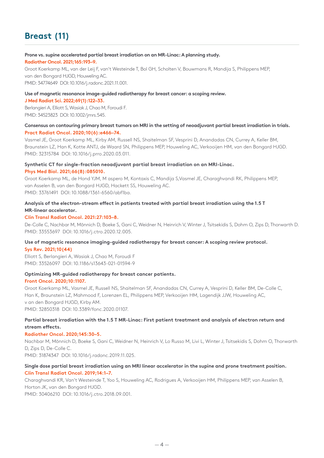# **Breast (11)**

### **Prone vs. supine accelerated partial breast irradiation on an MR-Linac: A planning study. Radiother Oncol. 2021;165:193–9.**

Groot Koerkamp ML, van der Leij F, van't Westeinde T, Bol GH, Scholten V, Bouwmans R, Mandija S, Philippens MEP, van den Bongard HJGD, Houweling AC. PMID: 34774649 DOI: 10.1016/j.radonc.2021.11.001.

# **Use of magnetic resonance image-guided radiotherapy for breast cancer: a scoping review.**

**J Med Radiat Sci. 2022;69(1):122–33.**

Berlangieri A, Elliott S, Wasiak J, Chao M, Foroudi F. PMID: 34523823 DOI: 10.1002/jmrs.545.

## **Consensus on contouring primary breast tumors on MRI in the setting of neoadjuvant partial breast irradiation in trials. Pract Radiat Oncol. 2020;10(6):e466–74.**

Vasmel JE, Groot Koerkamp ML, Kirby AM, Russell NS, Shaitelman SF, Vesprini D, Anandadas CN, Currey A, Keller BM, Braunstein LZ, Han K, Kotte ANTJ, de Waard SN, Philippens MEP, Houweling AC, Verkooijen HM, van den Bongard HJGD. PMID: 32315784 DOI: 10.1016/j.prro.2020.03.011.

# **Synthetic CT for single-fraction neoadjuvant partial breast irradiation on an MRI-Linac.**

## **Phys Med Biol. 2021;66(8):085010.**

Groot Koerkamp ML, de Hond YJM, M aspero M, Kontaxis C, Mandija S,Vasmel JE, Charaghvandi RK, Philippens MEP, van Asselen B, van den Bongard HJGD, Hackett SS, Houweling AC. PMID: 33761491 DOI: 10.1088/1361-6560/abf1ba.

# **Analysis of the electron-stream effect in patients treated with partial breast irradiation using the 1.5 T MR-linear accelerator.**

## **Clin Transl Radiat Oncol. 2021:27:103–8.**

De-Colle C, Nachbar M, Mönnich D, Boeke S, Gani C, Weidner N, Heinrich V, Winter J, Tsitsekidis S, Dohm O, Zips D, Thorwarth D. PMID: 33553697 DOI: 10.1016/j.ctro.2020.12.005.

## **Use of magnetic resonance imaging-guided radiotherapy for breast cancer: A scoping review protocol. Sys Rev. 2021;10(44)**

Elliott S, Berlangieri A, Wasiak J, Chao M, Foroudi F PMID: 33526097 DOI: 10.1186/s13643-021-01594-9

# **Optimizing MR-guided radiotherapy for breast cancer patients.**

## **Front Oncol. 2020;10:1107.**

Groot Koerkamp ML, Vasmel JE, Russell NS, Shaitelman SF, Anandadas CN, Currey A, Vesprini D, Keller BM, De-Colle C, Han K, Braunstein LZ, Mahmood F, Lorenzen EL, Philippens MEP, Verkooijen HM, Lagendijk JJW, Houweling AC, v an den Bongard HJGD, Kirby AM. PMID: 32850318 DOI: 10.3389/fonc.2020.01107.

# **Partial breast irradiation with the 1.5 T MR-Linac: First patient treatment and analysis of electron return and stream effects.**

## **Radiother Oncol. 2020;145:30–5.**

Nachbar M, Mönnich D, Boeke S, Gani C, Weidner N, Heinrich V, Lo Russo M, Livi L, Winter J, Tsitsekidis S, Dohm O, Thorwarth D, Zips D, De-Colle C.

PMID: 31874347 DOI: 10.1016/j.radonc.2019.11.025.

# **Single dose partial breast irradiation using an MRI linear accelerator in the supine and prone treatment position. Clin Transl Radiat Oncol. 2019;14:1–7.**

Charaghvandi KR, Van't Westeinde T, Yoo S, Houweling AC, Rodrigues A, Verkooijen HM, Philippens MEP, van Asselen B, Horton JK, van den Bongard HJGD.

PMID: 30406210 DOI: 10.1016/j.ctro.2018.09.001.

 $-4-$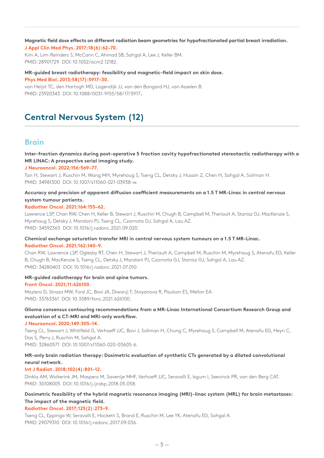### **Magnetic field dose effects on different radiation beam geometries for hypofractionated partial breast irradiation. J Appl Clin Med Phys. 2017;18(6):62–70.**

Kim A, Lim-Reinders S, McCann C, Ahmad SB, Sahgal A, Lee J, Keller BM. PMID: 28901729 DOI: 10.1002/acm2.12182.

**MR-guided breast radiotherapy: feasibility and magnetic-field impact on skin dose. Phys Med Biol. 2013;58(17):5917–30.**

van Heijst TC, den Hartogh MD, Lagendijk JJ, van den Bongard HJ, van Asselen B. PMID: 23920343 DOI: 10.1088/0031-9155/58/17/5917**.**

# **Central Nervous System (12)**

# **Brain**

**Inter-fraction dynamics during post-operative 5 fraction cavity hypofractionated stereotactic radiotherapy with a MR LINAC: A prospective serial imaging study.**

# **J Neurooncol. 2022;156:569–77.**

Tan H, Stewart J, Ruschin M, Wang MH, Myrehaug S, Tseng CL, Detsky J, Husain Z, Chen H, Sahgal A, Soliman H. PMID: 34981300 DOI: 10.1007/s11060-021-03938-w.

# **Accuracy and precision of apparent diffusion coefficient measurements on a 1.5 T MR-Linac in central nervous system tumour patients.**

## **Radiother Oncol. 2021;164:155–62.**

Lawrence LSP, Chan RW, Chen H, Keller B, Stewart J, Ruschin M, Chugh B, Campbell M, Theriault A, Stanisz GJ, MacKenzie S, Myrehaug S, Detsky J, Maralani PJ, Tseng CL, Czarnota GJ, Sahgal A, Lau AZ. PMID: 34592363 DOI: 10.1016/j.radonc.2021.09.020.

# **Chemical exchange saturation transfer MRI in central nervous system tumours on a 1.5 T MR-Linac. Radiother Oncol. 2021;162:140–9.**

Chan RW, Lawrence LSP, Oglesby RT, Chen H, Stewart J, Theriault A, Campbell M, Ruschin M, Myrehaug S, Atenafu EG, Keller B, Chugh B, MacKenzie S, Tseng CL, Detsky J, Maralani PJ, Czarnota GJ, Stanisz GJ, Sahgal A, Lau AZ. PMID: 34280403 DOI: 10.1016/j.radonc.2021.07.010.

# **MR-guided radiotherapy for brain and spine tumors.**

## **Front Oncol. 2021;11:626100.**

Maziero D, Straza MW, Ford JC, Bovi JA, Diwanji T, Stoyanova R, Paulson ES, Mellon EA. PMID: 33763361 DOI: 10.3389/fonc.2021.626100.

# **Glioma consensus contouring recommendations from a MR-Linac International Consortium Research Group and evaluation of a CT-MRI and MRI-only workflow.**

# **J Neurooncol. 2020;149:305–14.**

Tseng CL, Stewart J, Whitfield G, Verhoeff JJC, Bovi J, Soliman H, Chung C, Myrehaug S, Campbell M, Atenafu EG, Heyn C, Das S, Perry J, Ruschin M, Sahgal A. PMID: 32860571 DOI: 10.1007/s11060-020-03605-6.

# **MR-only brain radiation therapy: Dosimetric evaluation of synthetic CTs generated by a dilated convolutional neural network.**

## **Int J Radiat. 2018;102(4):801–12.**

Dinkla AM, Wolterink JM, Maspero M, Savenije MHF, Verhoeff JJC, Seravalli E, Isgum I, Seevinck PR, van den Berg CAT. PMID: 30108005 DOI: 10.1016/j.ijrobp.2018.05.058.

# **Dosimetric feasibility of the hybrid magnetic resonance imaging (MRI)-linac system (MRL) for brain metastases: The impact of the magnetic field.**

## **Radiother Oncol. 2017;125(2):273–9.**

Tseng CL, Eppinga W, Seravalli E, Hackett S, Brand E, Ruschin M, Lee YK, Atenafu EG, Sahgal A. PMID: 29079310 DOI: 10.1016/j.radonc.2017.09.036.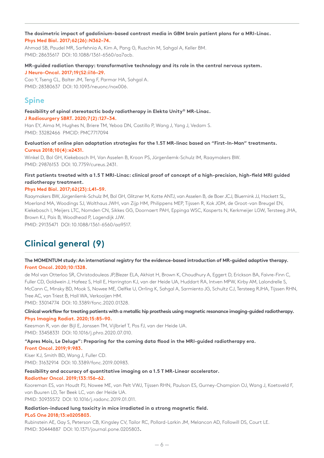# **The dosimetric impact of gadolinium-based contrast media in GBM brain patient plans for a MRI-Linac. Phys Med Biol. 2017;62(26):N362–74.**

Ahmad SB, Paudel MR, Sarfehnia A, Kim A, Pang G, Ruschin M, Sahgal A, Keller BM. PMID: 28635617 DOI: 10.1088/1361-6560/aa7acb.

# **MR-guided radiation therapy: transformative technology and its role in the central nervous system. J Neuro-Oncol. 2017;19(S2:ii16–29.**

Cao Y, Tseng CL, Balter JM, Teng F, Parmar HA, Sahgal A. PMID: 28380637 DOI: 10.1093/neuonc/nox006.

# **Spine**

# **Feasibility of spinal stereotactic body radiotherapy in Elekta Unity® MR-Linac.**

# **J Radiosurgery SBRT. 2020;7(2):127–34.**

Han EY, Aima M, Hughes N, Briere TM, Yeboa DN, Castillo P, Wang J, Yang J, Vedam S. PMID: 33282466 PMCID: PMC7717094

# **Evaluation of online plan adaptation strategies for the 1.5T MR-linac based on "First-In-Man" treatments. Cureus 2018;10(4):e2431.**

Winkel D, Bol GH, Kiekebosch IH, Van Asselen B, Kroon PS, Jürgenliemk-Schulz IM, Raaymakers BW. PMID: 29876153 DOI: 10.7759/cureus.2431.

# **First patients treated with a 1.5 T MRI-Linac: clinical proof of concept of a high-precision, high-field MRI guided radiotherapy treatment.**

# **Phys Med Biol. 2017;62(23):L41–59.**

Raaymakers BW, Jürgenliemk-Schulz IM, Bol GH, Glitzner M, Kotte ANTJ, van Asselen B, de Boer JCJ, Bluemink JJ, Hackett SL, Moerland MA, Woodings SJ, Wolthaus JWH, van Zijp HM, Philippens MEP, Tijssen R, Kok JGM, de Groot-van Breugel EN, Kiekebosch I, Meijers LTC, Nomden CN, Sikkes GG, Doornaert PAH, Eppinga WSC, Kasperts N, Kerkmeijer LGW, Tersteeg JHA, Brown KJ, Pais B, Woodhead P, Lagendijk JJW.

PMID: 29135471 DOI: 10.1088/1361-6560/aa9517.

# **Clinical general (9)**

# **The MOMENTUM study: An international registry for the evidence-based introduction of MR-guided adaptive therapy. Front Oncol. 2020;10:1328.**

de Mol van Otterloo SR, Christodouleas JP,Blezer ELA, Akhiat H, Brown K, Choudhury A, Eggert D, Erickson BA, Faivre-Finn C, Fuller CD, Goldwein J, Hafeez S, Hall E, Harrington KJ, van der Heide UA, Huddart RA, Intven MPW, Kirby AM, Lalondrelle S, McCann C, Minsky BD, Mook S, Nowee ME, Oelfke U, Orrling K, Sahgal A, Sarmiento JG, Schultz CJ, Tersteeg RJHA, Tijssen RHN, Tree AC, van Triest B, Hall WA, Verkooijen HM.

PMID: 33014774 DOI: 10.3389/fonc.2020.01328.

# **Clinical workflow for treating patients with a metallic hip prosthesis using magnetic resonance imaging-guided radiotherapy. Phys Imaging Radiat. 2020;15:85–90.**

Keesman R, van der Bijl E, Janssen TM, Vijlbrief T, Pos FJ, van der Heide UA. PMID: 33458331 DOI: 10.1016/j.phro.2020.07.010.

# **"Apres Mois, Le Deluge": Preparing for the coming data flood in the MRI-guided radiotherapy era.**

**Front Oncol. 2019;9:983.**

Kiser KJ, Smith BD, Wang J, Fuller CD. PMID: 31632914 DOI: 10.3389/fonc.2019.00983.

# **Feasibility and accuracy of quantitative imaging on a 1.5 T MR-Linear accelerator.**

# **Radiother Oncol. 2019;133:156–62.**

Kooreman ES, van Houdt PJ, Nowee ME, van Pelt VWJ, Tijssen RHN, Paulson ES, Gurney-Champion OJ, Wang J, Koetsveld F, van Buuren LD, Ter Beek LC, van der Heide UA.

PMID: 30935572 DOI: 10.1016/j.radonc.2019.01.011.

## **Radiation-induced lung toxicity in mice irradiated in a strong magnetic field. PLoS One 2018;13:e0205803.**

Rubinstein AE, Gay S, Peterson CB, Kingsley CV, Tailor RC, Pollard-Larkin JM, Melancon AD, Followill DS, Court LE. PMID: 30444887 DOI: 10.1371/journal.pone.0205803**.**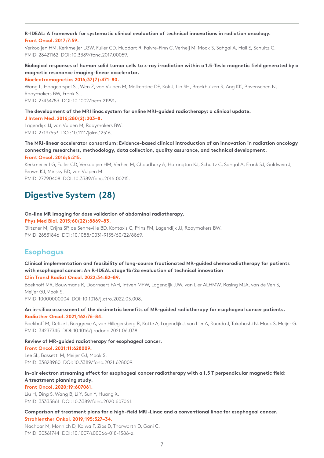# **R-IDEAL: A framework for systematic clinical evaluation of technical innovations in radiation oncology. Front Oncol. 2017;7:59.**

Verkooijen HM, Kerkmeijer LGW, Fuller CD, Huddart R, Faivre-Finn C, Verheij M, Mook S, Sahgal A, Hall E, Schultz C. PMID: 28421162 DOI: 10.3389/fonc.2017.00059.

# **Biological responses of human solid tumor cells to x-ray irradiation within a 1.5-Tesla magnetic field generated by a magnetic resonance imaging-linear accelerator. Bioelectromagnetics 2016;37(7):471–80.**

Wang L, Hoogcarspel SJ, Wen Z, van Vulpen M, Molkentine DP, Kok J, Lin SH, Broekhuizen R, Ang KK, Bovenschen N, Raaymakers BW, Frank SJ. PMID: 27434783 DOI: 10.1002/bem.21991**.**

**The development of the MRI linac system for online MRI-guided radiotherapy: a clinical update.**

## **J Intern Med. 2016;280(2):203–8.**

Lagendijk JJ, van Vulpen M, Raaymakers BW. PMID: 27197553 DOI: 10.1111/joim.12516.

## **The MRI-linear accelerator consortium: Evidence-based clinical introduction of an innovation in radiation oncology connecting researchers, methodology, data collection, quality assurance, and technical development. Front Oncol. 2016;6:215.**

Kerkmeijer LG, Fuller CD, Verkooijen HM, Verheij M, Choudhury A, Harrington KJ, Schultz C, Sahgal A, Frank SJ, Goldwein J, Brown KJ, Minsky BD, van Vulpen M. PMID: 27790408 DOI: 10.3389/fonc.2016.00215.

# **Digestive System (28)**

# **On-line MR imaging for dose validation of abdominal radiotherapy.**

# **Phys Med Biol. 2015;60(22):8869–83.**

Glitzner M, Crijns SP, de Senneville BD, Kontaxis C, Prins FM, Lagendijk JJ, Raaymakers BW. PMID: 26531846 DOI: 10.1088/0031-9155/60/22/8869.

# **Esophagus**

## **Clinical implementation and feasibility of long-course fractionated MR-guided chemoradiotherapy for patients with esophageal cancer: An R-IDEAL stage 1b/2a evaluation of technical innovation Clin Transl Radiat Oncol. 2022;34:82–89.**

Boekhoff MR, Bouwmans R, Doornaert PAH, Intven MPW, Lagendijk JJW, van Lier ALHMW, Rasing MJA, van de Ven S, Meijer GJ,Mook S.

PMID: 10000000004 DOI: 10.1016/j.ctro.2022.03.008.

# **An in-silico assessment of the dosimetric benefits of MR-guided radiotherapy for esophageal cancer patients. Radiother Oncol. 2021;162:76–84.**

Boekhoff M, Defize I, Borggreve A, van Hillegersberg R, Kotte A, Lagendijk J, van Lier A, Ruurda J, Takahashi N, Mook S, Meijer G. PMID: 34237345 DOI: 10.1016/j.radonc.2021.06.038.

## **Review of MR-guided radiotherapy for esophageal cancer. Front Oncol. 2021;11:628009.**

Lee SL, Bassetti M, Meijer GJ, Mook S. PMID: 33828980 DOI: 10.3389/fonc.2021.628009.

# **In-air electron streaming effect for esophageal cancer radiotherapy with a 1.5 T perpendicular magnetic field: A treatment planning study.**

# **Front Oncol. 2020;19:607061.**

Liu H, Ding S, Wang B, Li Y, Sun Y, Huang X. PMID: 33335861 DOI: 10.3389/fonc.2020.607061.

# **Comparison of treatment plans for a high-field MRI-Linac and a conventional linac for esophageal cancer. Strahlenther Onkol. 2019;195:327–34.**

Nachbar M, Monnich D, Kalwa P, Zips D, Thorwarth D, Gani C. PMID: 30361744 DOI: 10.1007/s00066-018-1386-z.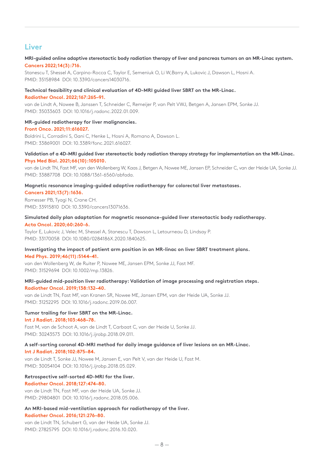# **Liver**

# **MRI-guided online adaptive stereotactic body radiation therapy of liver and pancreas tumors on an MR-Linac system. Cancers 2022;14(3):716.**

Stanescu T, Shessel A, Carpino-Rocca C, Taylor E, Semeniuk O, Li W,Barry A, Lukovic J, Dawson L, Hosni A. PMID: 35158984 DOI: 10.3390/cancers14030716.

# **Technical feasibility and clinical evaluation of 4D-MRI guided liver SBRT on the MR-Linac.**

**Radiother Oncol. 2022;167:265–91.**

van de Lindt A, Nowee B, Janssen T, Schneider C, Remeijer P, van Pelt VWJ, Betgen A, Jansen EPM, Sonke JJ. PMID: 35033603 DOI: 10.1016/j.radonc.2022.01.009.

**MR-guided radiotherapy for liver malignancies. Front Onco. 2021;11:616027.**

Boldrini L, Corradini S, Gani C, Henke L, Hosni A, Romano A, Dawson L. PMID: 33869001 DOI: 10.3389/fonc.2021.616027.

# **Validation of a 4D-MRI guided liver stereotactic body radiation therapy strategy for implementation on the MR-Linac. Phys Med Biol. 2021;66(10):105010.**

van de Lindt TN, Fast MF, van den Wollenberg W, Kaas J, Betgen A, Nowee ME, Jansen EP, Schneider C, van der Heide UA, Sonke JJ. PMID: 33887708 DOI: 10.1088/1361-6560/abfada.

# **Magnetic resonance imaging-guided adaptive radiotherapy for colorectal liver metastases.**

**Cancers 2021;13(7):1636.**

Romesser PB, Tyagi N, Crane CH. PMID: 33915810 DOI: 10.3390/cancers13071636.

## **Simulated daily plan adaptation for magnetic resonance-guided liver stereotactic body radiotherapy. Acta Oncol. 2020;60:260-6.**

Taylor E, Lukovic J, Velec M, Shessel A, Stanescu T, Dawson L, Letourneau D, Lindsay P. PMID: 33170058 DOI: 10.1080/0284186X.2020.1840625.

## **Investigating the impact of patient arm position in an MR-linac on liver SBRT treatment plans. Med Phys. 2019;46(11):5144–41.**

van den Wollenberg W, de Ruiter P, Nowee ME, Jansen EPM, Sonke JJ, Fast MF. PMID: 31529694 DOI: 10.1002/mp.13826.

# **MRI-guided mid-position liver radiotherapy: Validation of image processing and registration steps. Radiother Oncol. 2019;138:132–40.**

van de Lindt TN, Fast MF, van Kranen SR, Nowee ME, Jansen EPM, van der Heide UA, Sonke JJ. PMID: 31252295 DOI: 10.1016/j.radonc.2019.06.007.

## **Tumor trailing for liver SBRT on the MR-Linac. Int J Radiat. 2018;103:468–78.**

Fast M, van de Schoot A, van de Lindt T, Carbaat C, van der Heide U, Sonke JJ. PMID: 30243573 DOI: 10.1016/j.ijrobp.2018.09.011.

### **A self-sorting coronal 4D-MRI method for daily image guidance of liver lesions on an MR-Linac. Int J Radiat. 2018;102:875–84.**

van de Lindt T, Sonke JJ, Nowee M, Jansen E, van Pelt V, van der Heide U, Fast M. PMID: 30054104 DOI: 10.1016/j.ijrobp.2018.05.029.

## **Retrospective self-sorted 4D-MRI for the liver. Radiother Oncol. 2018;127:474–80.**

van de Lindt TN, Fast MF, van der Heide UA, Sonke JJ. PMID: 29804801 DOI: 10.1016/j.radonc.2018.05.006.

### **An MRI-based mid-ventilation approach for radiotherapy of the liver. Radiother Oncol. 2016;121:276–80.**

van de Lindt TN, Schubert G, van der Heide UA, Sonke JJ. PMID: 27825795 DOI: 10.1016/j.radonc.2016.10.020.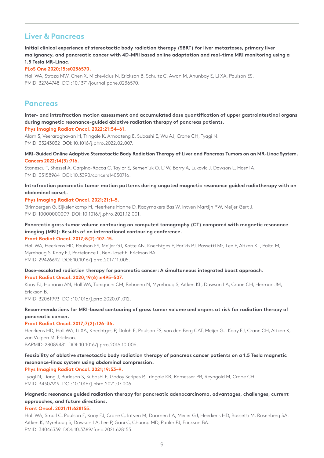# **Liver & Pancreas**

**Initial clinical experience of stereotactic body radiation therapy (SBRT) for liver metastases, primary liver malignancy, and pancreatic cancer with 4D-MRI based online adaptation and real-time MRI monitoring using a 1.5 Tesla MR-Linac.**

# **PLoS One 2020;15:e0236570.**

Hall WA, Straza MW, Chen X, Mickevicius N, Erickson B, Schultz C, Awan M, Ahunbay E, Li XA, Paulson ES. PMID: 32764748 DOI: 10.1371/journal.pone.0236570.

# **Pancreas**

# **Inter- and intrafraction motion assessment and accumulated dose quantification of upper gastrointestinal organs during magnetic resonance-guided ablative radiation therapy of pancreas patients.**

# **Phys Imaging Radiat Oncol. 2022;21:54–61.**

Alam S, Veeraraghavan H, Tringale K, Amoateng E, Subashi E, Wu AJ, Crane CH, Tyagi N. PMID: 35243032 DOI: 10.1016/j.phro.2022.02.007.

## **MRI-Guided Online Adaptive Stereotactic Body Radiation Therapy of Liver and Pancreas Tumors on an MR-Linac System. Cancers 2022;14(3):716.**

Stanescu T, Shessel A, Carpino-Rocca C, Taylor E, Semeniuk O, Li W, Barry A, Lukovic J, Dawson L, Hosni A. PMID: 35158984 DOI: 10.3390/cancers14030716.

## **Intrafraction pancreatic tumor motion patterns during ungated magnetic resonance guided radiotherapy with an abdominal corset.**

## **Phys Imaging Radiat Oncol. 2021;21:1–5.**

Grimbergen G, Eijkelenkamp H, Heerkens Hanne D, Raaymakers Bas W, Intven Martijn PW, Meijer Gert J. PMID: 10000000009 DOI: 10.1016/j.phro.2021.12.001.

# **Pancreatic gross tumor volume contouring on computed tomography (CT) compared with magnetic resonance imaging (MRI): Results of an international contouring conference.**

## **Pract Radiat Oncol. 2017;8(2):107–15.**

Hall WA, Heerkens HD, Paulson ES, Meijer GJ, Kotte AN, Knechtges P, Parikh PJ, Bassetti MF, Lee P, Aitken KL, Palta M, Myrehaug S, Koay EJ, Portelance L, Ben-Josef E, Erickson BA. PMID: 29426692 DOI: 10.1016/j.prro.2017.11.005.

# **Dose-escalated radiation therapy for pancreatic cancer: A simultaneous integrated boost approach. Pract Radiat Oncol. 2020;19(6):e495–507.**

Koay EJ, Hanania AN, Hall WA, Taniguchi CM, Rebueno N, Myrehaug S, Aitken KL, Dawson LA, Crane CH, Herman JM, Erickson B.

PMID: 32061993 DOI: 10.1016/j.prro.2020.01.012.

# **Recommendations for MRI-based contouring of gross tumor volume and organs at risk for radiation therapy of pancreatic cancer.**

## **Pract Radiat Oncol. 2017;7(2):126–36.**

Heerkens HD, Hall WA, Li XA, Knechtges P, Dalah E, Paulson ES, van den Berg CAT, Meijer GJ, Koay EJ, Crane CH, Aitken K, van Vulpen M, Erickson.

BAPMID: 28089481 DOI: 10.1016/j.prro.2016.10.006.

# **Feasibility of ablative stereotactic body radiation therapy of pancreas cancer patients on a 1.5 Tesla magnetic resonance-linac system using abdominal compression.**

**Phys Imaging Radiat Oncol. 2021;19:53–9.**

Tyagi N, Liang J, Burleson S, Subashi E, Godoy Scripes P, Tringale KR, Romesser PB, Reyngold M, Crane CH. PMID: 34307919 DOI: 10.1016/j.phro.2021.07.006.

# **Magnetic resonance guided radiation therapy for pancreatic adenocarcinoma, advantages, challenges, current approaches, and future directions.**

# **Front Oncol. 2021;11:628155.**

Hall WA, Small C, Paulson E, Koay EJ, Crane C, Intven M, Daamen LA, Meijer GJ, Heerkens HD, Bassetti M, Rosenberg SA, Aitken K, Myrehaug S, Dawson LA, Lee P, Gani C, Chuong MD, Parikh PJ, Erickson BA. PMID: 34046339 DOI: 10.3389/fonc.2021.628155.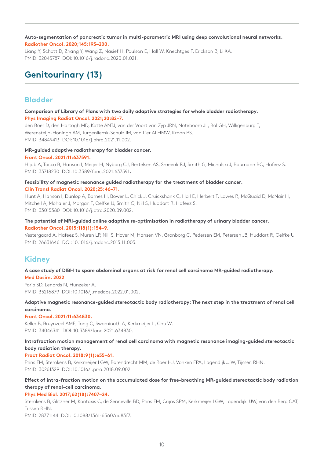**Auto-segmentation of pancreatic tumor in multi-parametric MRI using deep convolutional neural networks. Radiother Oncol. 2020;145:193–200.**

Liang Y, Schott D, Zhang Y, Wang Z, Nasief H, Paulson E, Hall W, Knechtges P, Erickson B, Li XA. PMID: 32045787 DOI: 10.1016/j.radonc.2020.01.021.

# **Genitourinary (13)**

# **Bladder**

# **Comparison of Library of Plans with two daily adaptive strategies for whole bladder radiotherapy. Phys Imaging Radiat Oncol. 2021;20:82–7.**

den Boer D, den Hartogh MD, Kotte ANTJ, van der Voort van Zyp JRN, Noteboom JL, Bol GH, Willigenburg T, Werensteijn-Honingh AM, Jurgenliemk-Schulz IM, van Lier ALHMW, Kroon PS. PMID: 34849413 DOI: 10.1016/j.phro.2021.11.002.

# **MR-guided adaptive radiotherapy for bladder cancer.**

# **Front Oncol. 2021;11:637591.**

Hijab A, Tocco B, Hanson I, Meijer H, Nyborg CJ, Bertelsen AS, Smeenk RJ, Smith G, Michalski J, Baumann BC, Hafeez S. PMID: 33718230 DOI: 10.3389/fonc.2021.637591**.**

# **Feasibility of magnetic resonance guided radiotherapy for the treatment of bladder cancer. Clin Transl Radiat Oncol. 2020;25:46–71.**

Hunt A, Hanson I, Dunlop A, Barnes H, Bower L, Chick J, Cruickshank C, Hall E, Herbert T, Lawes R, McQuaid D, McNair H, Mitchell A, Mohajer J, Morgan T, Oelfke U, Smith G, Nill S, Huddart R, Hafeez S. PMID: 33015380 DOI: 10.1016/j.ctro.2020.09.002.

# **The potential of MRI-guided online adaptive re-optimisation in radiotherapy of urinary bladder cancer. Radiother Oncol. 2015;118(1):154–9.**

Vestergaard A, Hafeez S, Muren LP, Nill S, Hoyer M, Hansen VN, Gronborg C, Pedersen EM, Petersen JB, Huddart R, Oelfke U. PMID: 26631646 DOI: 10.1016/j.radonc.2015.11.003.

# **Kidney**

### **A case study of DIBH to spare abdominal organs at risk for renal cell carcinoma MR-guided radiotherapy. Med Dosim. 2022**

Yorio SD, Lenards N, Hunzeker A. PMID: 35216879 DOI: 10.1016/j.meddos.2022.01.002.

# **Adaptive magnetic resonance-guided stereotactic body radiotherapy: The next step in the treatment of renal cell carcinoma.**

# **Front Oncol. 2021;11:634830.**

Keller B, Bruynzeel AME, Tang C, Swaminath A, Kerkmeijer L, Chu W. PMID: 34046341 DOI: 10.3389/fonc.2021.634830.

# **Intrafraction motion management of renal cell carcinoma with magnetic resonance imaging-guided stereotactic body radiation therapy.**

# **Pract Radiat Oncol. 2018;9(1):e55–61.**

Prins FM, Stemkens B, Kerkmeijer LGW, Barendrecht MM, de Boer HJ, Vonken EPA, Lagendijk JJW, Tijssen RHN. PMID: 30261329 DOI: 10.1016/j.prro.2018.09.002.

# **Effect of intra-fraction motion on the accumulated dose for free-breathing MR-guided stereotactic body radiation therapy of renal-cell carcinoma.**

# **Phys Med Biol. 2017;62(18):7407–24.**

Stemkens B, Glitzner M, Kontaxis C, de Senneville BD, Prins FM, Crijns SPM, Kerkmeijer LGW, Lagendijk JJW, van den Berg CAT, Tijssen RHN.

PMID: 28771144 DOI: 10.1088/1361-6560/aa83f7.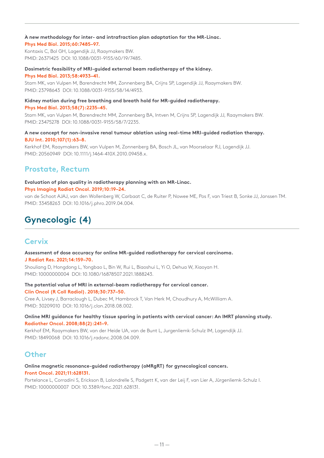# **A new methodology for inter- and intrafraction plan adaptation for the MR-Linac.** .

# **Phys Med Biol. 2015;60:7485–97.**

Kontaxis C, Bol GH, Lagendijk JJ, Raaymakers BW. PMID: 26371425 DOI: 10.1088/0031-9155/60/19/7485.

### **Dosimetric feasibility of MRI-guided external beam radiotherapy of the kidney.**

**Phys Med Biol. 2013;58:4933–41.**

Stam MK, van Vulpen M, Barendrecht MM, Zonnenberg BA, Crijns SP, Lagendijk JJ, Raaymakers BW. PMID: 23798643 DOI: 10.1088/0031-9155/58/14/4933.

# **Kidney motion during free breathing and breath hold for MR-guided radiotherapy.**

**Phys Med Biol. 2013;58(7):2235–45.**

Stam MK, van Vulpen M, Barendrecht MM, Zonnenberg BA, Intven M, Crijns SP, Lagendijk JJ, Raaymakers BW. PMID: 23475278 DOI: 10.1088/0031-9155/58/7/2235.

# **A new concept for non-invasive renal tumour ablation using real-time MRI-guided radiation therapy. BJU Int. 2010;107(1):63–8.**

Kerkhof EM, Raaymakers BW, van Vulpen M, Zonnenberg BA, Bosch JL, van Moorselaar RJ, Lagendijk JJ. PMID: 20560949 DOI: 10.1111/j.1464-410X.2010.09458.x.

# **Prostate, Rectum**

# **Evaluation of plan quality in radiotherapy planning with an MR-Linac.**

**Phys Imaging Radiat Oncol. 2019;10:19–24.**

van de Schoot AJAJ, van den Wollenberg W, Carbaat C, de Ruiter P, Nowee ME, Pos F, van Triest B, Sonke JJ, Janssen TM. PMID: 33458263 DOI: 10.1016/j.phro.2019.04.004.

# **Gynecologic (4)**

# **Cervix**

## **Assessment of dose accuracy for online MR-guided radiotherapy for cervical carcinoma. J Radiat Res. 2021;14:159–70.**

Shouliang D, Hongdong L, Yongbao L, Bin W, Rui L, Biaoshui L, Yi O, Dehua W, Xiaoyan H. PMID: 10000000004 DOI: 10.1080/16878507.2021.1888243.

## **The potential value of MRI in external-beam radiotherapy for cervical cancer. Clin Oncol (R Coll Radiol). 2018;30:737–50.**

Cree A, Livsey J, Barraclough L, Dubec M, Hambrock T, Van Herk M, Choudhury A, McWilliam A. PMID: 30209010 DOI: 10.1016/j.clon.2018.08.002.

# **Online MRI guidance for healthy tissue sparing in patients with cervical cancer: An IMRT planning study. Radiother Oncol. 2008;88(2):241–9.**

Kerkhof EM, Raaymakers BW, van der Heide UA, van de Bunt L, Jurgenliemk-Schulz IM, Lagendijk JJ. PMID: 18490068 DOI: 10.1016/j.radonc.2008.04.009.

# **Other**

# **Online magnetic resonance-guided radiotherapy (oMRgRT) for gynecological cancers. Front Oncol. 2021;11:628131.**

Portelance L, Corradini S, Erickson B, Lalondrelle S, Padgett K, van der Leij F, van Lier A, Jürgenliemk-Schulz I. PMID: 10000000007 DOI: 10.3389/fonc.2021.628131.

 $-11-$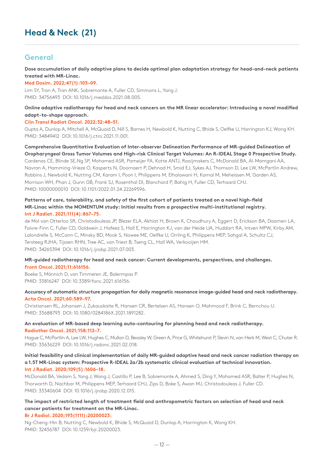# **General**

**Dose accumulation of daily adaptive plans to decide optimal plan adaptation strategy for head-and-neck patients treated with MR-Linac.**

**Med Dosim. 2022;47(1):103–09.**

Lim SY, Tran A, Tran ANK, Sobremonte A, Fuller CD, Simmons L, Yang J. PMID: 34756493 DOI: 10.1016/j.meddos.2021.08.005.

# **Online adaptive radiotherapy for head and neck cancers on the MR linear accelerator: Introducing a novel modified adapt-to-shape approach.**

## **Clin Transl Radiat Oncol. 2022;32:48–51.**

Gupta A, Dunlop A, Mitchell A, McQuaid D, Nill S, Barnes H, Newbold K, Nutting C, Bhide S, Oelfke U, Harrington KJ, Wong KH. PMID: 34849412 DOI: 10.1016/j.ctro.2021.11.001.

# **Comprehensive Quantitative Evaluation of Inter-observer Delineation Performance of MR-guided Delineation of Oropharyngeal Gross Tumor Volumes and High-risk Clinical Target Volumes: An R-IDEAL Stage 0 Prospective Study.**

Cardenas CE, Blinde SE,Ng SP, Mohamed ASR, Pameijer FA, Kotte ANTJ, Raaijmakers C, McDonald BA, Al-Mamgani AA, Navran A, Hamming-Vrieze O, Kasperts N, Doornaert P, Dehnad H, Smid EJ, Sykes AJ, Thomson D, Lee LW, McPartlin Andrew, Robbins J, Newbold K, Nutting CM, Karam I, Poon I, Philippens M, Elhalawani H, Kamal M, Meheissen M, Garden AS, Morrison WH, Phan J, Gunn GB, Frank SJ, Rosenthal DI, Blanchard P, Bahig H, Fuller CD, Terhaard CHJ. PMID: 10000000010 DOI: 10.1101/2022.01.24.22269596.

# **Patterns of care, tolerability, and safety of the first cohort of patients treated on a novel high-field MR-Linac within the MOMENTUM study: Initial results from a prospective multi-institutional registry. Int J Radiat. 2021;111(4):867–75.**

de Mol van Otterloo SR, Christodouleas JP, Blezer ELA, Akhiat H, Brown K, Choudhury A, Eggert D, Erickson BA, Daamen LA, Faivre-Finn C, Fuller CD, Goldwein J, Hafeez S, Hall E, Harrington KJ, van der Heide UA, Huddart RA, Intven MPW, Kirby AM, Lalondrelle S, McCann C, Minsky BD, Mook S, Nowee ME, Oelfke U, Orrling K, Philippens MEP, Sahgal A, Schultz CJ, Tersteeg RJHA, Tijssen RHN, Tree AC, van Triest B, Tseng CL, Hall WA, Verkooijen HM. PMID: 34265394 DOI: 10.1016/j.ijrobp.2021.07.003.

# **MR-guided radiotherapy for head and neck cancer: Current developments, perspectives, and challenges. Front Oncol. 2021;11:616156.**

Boeke S, Mönnich D, van Timmeren JE, Balermpas P. PMID: 33816247 DOI: 10.3389/fonc.2021.616156.

# **Accuracy of automatic structure propagation for daily magnetic resonance image-guided head and neck radiotherapy. Acta Oncol. 2021;60:589–97.**

Christiansen RL, Johansen J, Zukauskaite R, Hansen CR, Bertelsen AS, Hansen O, Mahmood F, Brink C, Bernchou U. PMID: 33688793 DOI: 10.1080/0284186X.2021.1891282.

# **An evaluation of MR-based deep learning auto-contouring for planning head and neck radiotherapy. Radiother Oncol. 2021;158:112–7.**

Hague C, McPartlin A, Lee LW, Hughes C, Mullan D, Beasley W, Green A, Price G, Whitehurst P, Slevin N, van Herk M, West C, Chuter R. PMID: 33636229 DOI: 10.1016/j.radonc.2021.02.018.

## **Initial feasibility and clinical implementation of daily MR-guided adaptive head and neck cancer radiation therapy on a 1.5T MR-Linac system: Prospective R-IDEAL 2a/2b systematic clinical evaluation of technical innovation. Int J Radiat. 2020;109(5):1606–18.**

McDonald BA, Vedam S, Yang J, Wang J, Castillo P, Lee B, Sobremonte A, Ahmed S, Ding Y, Mohamed ASR, Balter P, Hughes N, Thorwarth D, Nachbar M, Philippens MEP, Terhaard CHJ, Zips D, Boke S, Awan MJ, Christodouleas J, Fuller CD. PMID: 33340604 DOI: 10.1016/j.ijrobp.2020.12.015.

# **The impact of restricted length of treatment field and anthropometric factors on selection of head and neck cancer patients for treatment on the MR-Linac.**

**Br J Radiol. 2020;193(1111):20200023.**

Ng-Cheng-Hin B, Nutting C, Newbold K, Bhide S, McQuaid D, Dunlop A, Harrington K, Wong KH. PMID: 32436787 DOI: 10.1259/bjr.20200023.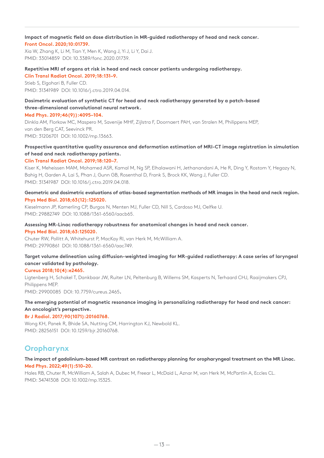### **Impact of magnetic field on dose distribution in MR-guided radiotherapy of head and neck cancer. Front Oncol. 2020;10:01739.**

Xia W, Zhang K, Li M, Tian Y, Men K, Wang J, Yi J, Li Y, Dai J. PMID: 33014859 DOI: 10.3389/fonc.2020.01739.

### **Repetitive MRI of organs at risk in head and neck cancer patients undergoing radiotherapy.**

**Clin Transl Radiat Oncol. 2019;18:131–9.** Stieb S, Elgohari B, Fuller CD. PMID: 31341989 DOI: 10.1016/j.ctro.2019.04.014.

# **Dosimetric evaluation of synthetic CT for head and neck radiotherapy generated by a patch-based three-dimensional convolutional neural network. Med Phys. 2019;46(9)):4095–104.**

Dinkla AM, Florkow MC, Maspero M, Savenije MHF, Zijlstra F, Doornaert PAH, van Stralen M, Philippens MEP, van den Berg CAT, Seevinck PR. PMID: 31206701 DOI: 10.1002/mp.13663.

# **Prospective quantitative quality assurance and deformation estimation of MRI-CT image registration in simulation of head and neck radiotherapy patients.**

## **Clin Transl Radiat Oncol. 2019;18:120–7.**

Kiser K, Meheissen MAM, Mohamed ASR, Kamal M, Ng SP, Elhalawani H, Jethanandani A, He R, Ding Y, Rostom Y, Hegazy N, Bahig H, Garden A, Lai S, Phan J, Gunn GB, Rosenthal D, Frank S, Brock KK, Wang J, Fuller CD. PMID: 31341987 DOI: 10.1016/j.ctro.2019.04.018.

# **Geometric and dosimetric evaluations of atlas-based segmentation methods of MR images in the head and neck region. Phys Med Biol. 2018;63(12):125020.**

Kieselmann JP, Kamerling CP, Burgos N, Menten MJ, Fuller CD, Nill S, Cardoso MJ, Oelfke U. PMID: 29882749 DOI: 10.1088/1361-6560/aacb65.

#### **Assessing MR-Linac radiotherapy robustness for anatomical changes in head and neck cancer. Phys Med Biol. 2018;63:125020.**

Chuter RW, Pollitt A, Whitehurst P, MacKay RI, van Herk M, McWilliam A. PMID: 29790861 DOI: 10.1088/1361-6560/aac749.

# **Target volume delineation using diffusion-weighted imaging for MR-guided radiotherapy: A case series of laryngeal cancer validated by pathology.**

## **Cureus 2018;10(4):e2465.**

Ligtenberg H, Schakel T, Dankbaar JW, Ruiter LN, Peltenburg B, Willems SM, Kasperts N, Terhaard CHJ, Raaijmakers CPJ, Philippens MEP.

PMID: 29900085 DOI: 10.7759/cureus.2465**.**

# **The emerging potential of magnetic resonance imaging in personalizing radiotherapy for head and neck cancer: An oncologist's perspective.**

## **Br J Radiol. 2017;90(1071):20160768.**

Wong KH, Panek R, Bhide SA, Nutting CM, Harrington KJ, Newbold KL. PMID: 28256151 DOI: 10.1259/bjr.20160768.

# **Oropharynx**

# **The impact of gadolinium-based MR contrast on radiotherapy planning for oropharyngeal treatment on the MR Linac. Med Phys. 2022;49(1):510–20.**

Hales RB, Chuter R, McWilliam A, Salah A, Dubec M, Freear L, McDaid L, Aznar M, van Herk M, McPartlin A, Eccles CL. PMID: 34741308 DOI: 10.1002/mp.15325.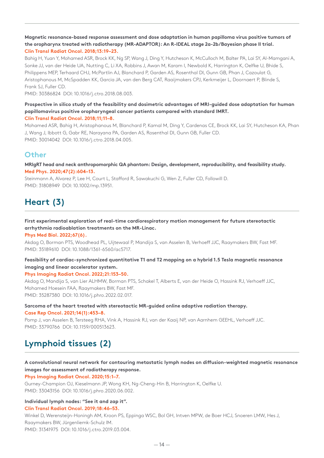# **Magnetic resonance-based response assessment and dose adaptation in human papilloma virus positive tumors of the oropharynx treated with radiotherapy (MR-ADAPTOR): An R-IDEAL stage 2a-2b/Bayesian phase II trial. Clin Transl Radiat Oncol. 2018;13:19–23.**

Bahig H, Yuan Y, Mohamed ASR, Brock KK, Ng SP, Wang J, Ding Y, Hutcheson K, McCulloch M, Balter PA, Lai SY, Al-Mamgani A, Sonke JJ, van der Heide UA, Nutting C, Li XA, Robbins J, Awan M, Karam I, Newbold K, Harrington K, Oelfke U, Bhide S, Philippens MEP, Terhaard CHJ, McPartlin AJ, Blanchard P, Garden AS, Rosenthal DI, Gunn GB, Phan J, Cazoulat G, Aristophanous M, McSpadden KK, Garcia JA, van den Berg CAT, Raaijmakers CPJ, Kerkmeijer L, Doornaert P, Blinde S, Frank SJ, Fuller CD.

PMID: 30386824 DOI: 10.1016/j.ctro.2018.08.003.

# **Prospective in silico study of the feasibility and dosimetric advantages of MRI-guided dose adaptation for human papillomavirus positive oropharyngeal cancer patients compared with standard IMRT.**

# **Clin Transl Radiat Oncol. 2018;11;11–8.**

Mohamed ASR, Bahig H, Aristophanous M, Blanchard P, Kamal M, Ding Y, Cardenas CE, Brock KK, Lai SY, Hutcheson KA, Phan J, Wang J, Ibbott G, Gabr RE, Narayana PA, Garden AS, Rosenthal DI, Gunn GB, Fuller CD. PMID: 30014042 DOI: 10.1016/j.ctro.2018.04.005.

# **Other**

**MRIgRT head and neck anthropomorphic QA phantom: Design, development, reproducibility, and feasibility study. Med Phys. 2020;47(2):604–13.**

Steinmann A, Alvarez P, Lee H, Court L, Stafford R, Sawakuchi G, Wen Z, Fuller CD, Followill D. PMID: 31808949 DOI: 10.1002/mp.13951.

# **Heart (3)**

# **First experimental exploration of real-time cardiorespiratory motion management for future stereotactic arrhythmia radioablation treatments on the MR-Linac.**

**Phys Med Biol. 2022;67(6).**

Akdag O, Borman PTS, Woodhead PL, Uijtewaal P, Mandija S, van Asselen B, Verhoeff JJC, Raaymakers BW, Fast MF. PMID: 35189610 DOI: 10.1088/1361-6560/ac5717.

# **Feasibility of cardiac-synchronized quantitative T1 and T2 mapping on a hybrid 1.5 Tesla magnetic resonance imaging and linear accelerator system.**

# **Phys Imaging Radiat Oncol. 2022;21:153–50.**

Akdag O, Mandija S, van Lier ALHMW, Borman PTS, Schakel T, Alberts E, van der Heide O, Hassink RJ, Verhoeff JJC, Mohamed Hoesein FAA, Raaymakers BW, Fast MF. PMID: 35287380 DOI: 10.1016/j.phro.2022.02.017.

# **Sarcoma of the heart treated with stereotactic MR-guided online adaptive radiation therapy. Case Rep Oncol. 2021;14(1):453–8.**

Pomp J, van Asselen B, Tersteeg RHA, Vink A, Hassink RJ, van der Kaaij NP, van Aarnhem GEEHL, Verhoeff JJC. PMID: 33790766 DOI: 10.1159/000513623.

# **Lymphoid tissues (2)**

# **A convolutional neural network for contouring metastatic lymph nodes on diffusion-weighted magnetic resonance images for assessment of radiotherapy response.**

# **Phys Imaging Radiat Oncol. 2020;15:1–7.**

Gurney-Champion OJ, Kieselmann JP, Wong KH, Ng-Cheng-Hin B, Harrington K, Oelfke U. PMID: 33043156 DOI: 10.1016/j.phro.2020.06.002.

# **Individual lymph nodes: "See it and zap it".**

# **Clin Transl Radiat Oncol. 2019;18:46–53.**

Winkel D, Werensteijn-Honingh AM, Kroon PS, Eppinga WSC, Bol GH, Intven MPW, de Boer HCJ, Snoeren LMW, Hes J, Raaymakers BW, Jürgenliemk-Schulz IM.

PMID: 31341975 DOI: 10.1016/j.ctro.2019.03.004.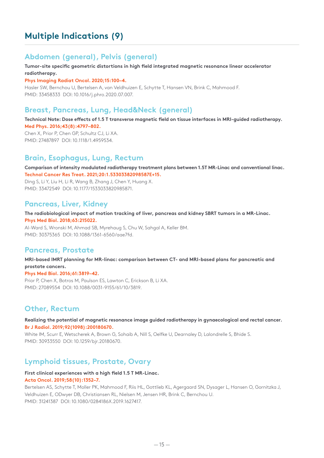# **Multiple Indications (9)**

# **Abdomen (general), Pelvis (general)**

# **Tumor-site specific geometric distortions in high field integrated magnetic resonance linear accelerator radiotherapy.**

# **Phys Imaging Radiat Oncol. 2020;15:100–4.**

Hasler SW, Bernchou U, Bertelsen A, van Veldhuizen E, Schytte T, Hansen VN, Brink C, Mahmood F. PMID: 33458333 DOI: 10.1016/j.phro.2020.07.007.

# **Breast, Pancreas, Lung, Head&Neck (general)**

**Technical Note: Dose effects of 1.5 T transverse magnetic field on tissue interfaces in MRI-guided radiotherapy. Med Phys. 2016;43(8):4797–802.**

Chen X, Prior P, Chen GP, Schultz CJ, Li XA. PMID: 27487897 DOI: 10.1118/1.4959534.

# **Brain, Esophagus, Lung, Rectum**

**Comparison of intensity modulated radiotherapy treatment plans between 1.5T MR-Linac and conventional linac. Technol Cancer Res Treat. 2021;20:1.53303382098587E+15.**

Ding S, Li Y, Liu H, Li R, Wang B, Zhang J, Chen Y, Huang X. PMID: 33472549 DOI: 10.1177/1533033820985871.

# **Pancreas, Liver, Kidney**

**The radiobiological impact of motion tracking of liver, pancreas and kidney SBRT tumors in a MR-Linac. Phys Med Biol. 2018;63:215022.**

Al-Ward S, Wronski M, Ahmad SB, Myrehaug S, Chu W, Sahgal A, Keller BM. PMID: 30375365 DOI: 10.1088/1361-6560/aae7fd.

# **Pancreas, Prostate**

**MRI-based IMRT planning for MR-linac: comparison between CT- and MRI-based plans for pancreatic and prostate cancers.**

# **Phys Med Biol. 2016;61:3819–42.**

Prior P, Chen X, Botros M, Paulson ES, Lawton C, Erickson B, Li XA. PMID: 27089554 DOI: 10.1088/0031-9155/61/10/3819.

# **Other, Rectum**

**Realizing the potential of magnetic resonance image guided radiotherapy in gynaecological and rectal cancer. Br J Radiol. 2019;92(1098):200180670.**

White IM, Scurr E, Wetscherek A, Brown G, Sohaib A, Nill S, Oelfke U, Dearnaley D, Lalondrelle S, Bhide S. PMID: 30933550 DOI: 10.1259/bjr.20180670.

# **Lymphoid tissues, Prostate, Ovary**

# **First clinical experiences with a high field 1.5 T MR-Linac.**

## **Acta Oncol. 2019;58(10):1352–7.**

Bertelsen AS, Schytte T, Moller PK, Mahmood F, Riis HL, Gottlieb KL, Agergaard SN, Dysager L, Hansen O, Gornitzka J, Veldhuizen E, ODwyer DB, Christiansen RL, Nielsen M, Jensen HR, Brink C, Bernchou U. PMID: 31241387 DOI: 10.1080/0284186X.2019.1627417.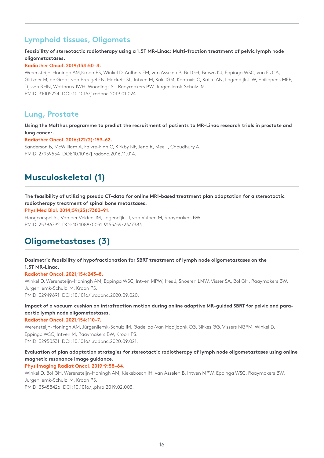# **Lymphoid tissues, Oligomets**

# **Feasibility of stereotactic radiotherapy using a 1.5T MR-Linac: Multi-fraction treatment of pelvic lymph node oligometastases.**

# **Radiother Oncol. 2019;134:50–4.**

Werensteijn-Honingh AM,Kroon PS, Winkel D, Aalbers EM, van Asselen B, Bol GH, Brown KJ, Eppinga WSC, van Es CA, Glitzner M, de Groot-van Breugel EN, Hackett SL, Intven M, Kok JGM, Kontaxis C, Kotte AN, Lagendijk JJW, Philippens MEP, Tijssen RHN, Wolthaus JWH, Woodings SJ, Raaymakers BW, Jurgenliemk-Schulz IM. PMID: 31005224 DOI: 10.1016/j.radonc.2019.01.024.

# **Lung, Prostate**

# **Using the Malthus programme to predict the recruitment of patients to MR-Linac research trials in prostate and lung cancer.**

# **Radiother Oncol. 2016;122(2):159–62.**

Sanderson B, McWilliam A, Faivre-Finn C, Kirkby NF, Jena R, Mee T, Choudhury A. PMID: 27939554 DOI: 10.1016/j.radonc.2016.11.014.

# **Musculoskeletal (1)**

# **The feasibility of utilizing pseudo CT-data for online MRI-based treatment plan adaptation for a stereotactic radiotherapy treatment of spinal bone metastases.**

**Phys Med Biol. 2014;59(23):7383–91.**

Hoogcarspel SJ, Van der Velden JM, Lagendijk JJ, van Vulpen M, Raaymakers BW. PMID: 25386792 DOI: 10.1088/0031-9155/59/23/7383.

# **Oligometastases (3)**

# **Dosimetric feasibility of hypofractionation for SBRT treatment of lymph node oligometastases on the 1.5T MR-Linac.**

# **Radiother Oncol. 2021;154:243–8.**

Winkel D, Werensteijn-Honingh AM, Eppinga WSC, Intven MPW, Hes J, Snoeren LMW, Visser SA, Bol GH, Raaymakers BW, Jurgenliemk-Schulz IM, Kroon PS. PMID: 32949691 DOI: 10.1016/j.radonc.2020.09.020.

# **Impact of a vacuum cushion on intrafraction motion during online adaptive MR-guided SBRT for pelvic and paraaortic lymph node oligometastases.**

# **Radiother Oncol. 2021;154:110–7.**

Werensteijn-Honingh AM, Jürgenliemk-Schulz IM, Gadellaa-Van Hooijdonk CG, Sikkes GG, Vissers NGPM, Winkel D, Eppinga WSC, Intven M, Raaymakers BW, Kroon PS. PMID: 32950531 DOI: 10.1016/j.radonc.2020.09.021.

# **Evaluation of plan adaptation strategies for stereotactic radiotherapy of lymph node oligometastases using online magnetic resonance image guidance.**

# **Phys Imaging Radiat Oncol. 2019;9:58–64.**

Winkel D, Bol GH, Werensteijn-Honingh AM, Kiekebosch IH, van Asselen B, Intven MPW, Eppinga WSC, Raaymakers BW, Jurgenliemk-Schulz IM, Kroon PS. PMID: 33458426 DOI: 10.1016/j.phro.2019.02.003.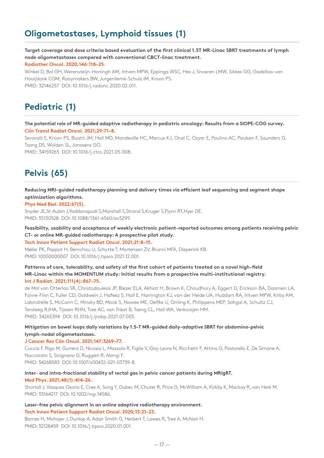# **Oligometastases, Lymphoid tissues (1)**

**Target coverage and dose criteria based evaluation of the first clinical 1.5T MR-Linac SBRT treatments of lymph node oligometastases compared with conventional CBCT-linac treatment.**

**Radiother Oncol. 2020;146:118–25.**

Winkel D, Bol GH, Werensteijn-Honingh AM, Intven MPW, Eppinga WSC, Hes J, Snoeren LMW, Sikkes GG, Gadellaa-van Hooijdonk CGM, Raaymakers BW, Jurgenliemk-Schulz IM, Kroon PS. PMID: 32146257 DOI: 10.1016/j.radonc.2020.02.011.

# **Pediatric (1)**

**The potential role of MR-guided adaptive radiotherapy in pediatric oncology: Results from a SIOPE-COG survey. Clin Transl Radiat Oncol. 2021;29:71–8.**

Seravalli E, Kroon PS, Buatti JM, Hall MD, Mandeville HC, Marcus KJ, Onal C, Ozyar E, Paulino AC, Paulsen F, Saunders D, Tsang DS, Wolden SL, Janssens GO.

PMID: 34159265 DOI: 10.1016/j.ctro.2021.05.008.

# **Pelvis (65)**

**Reducing MRI-guided radiotherapy planning and delivery times via efficient leaf sequencing and segment shape optimization algorithms.**

## **Phys Med Biol. 2022;67(5).**

Snyder JE,St-Aubin J,Yaddanapudi S,Marshall S,Strand S,Kruger S,Flynn RT,Hyer DE. PMID: 35130528 DOI: 10.1088/1361-6560/ac5299.

**Feasibility, usability and acceptance of weekly electronic patient-reported outcomes among patients receiving pelvic CT- or online MR-guided radiotherapy: A prospective pilot study.**

## **Tech Innov Patient Support Radiat Oncol. 2021;21:8–15.**

Møller PK, Pappot H, Bernchou U, Schytte T, Mortensen ZV, Brúnni MFÁ, Dieperink KB. PMID: 10000000007 DOI: 10.1016/j.tipsro.2021.12.001.

## **Patterns of care, tolerability, and safety of the first cohort of patients treated on a novel high-field MR-Linac within the MOMENTUM study: Initial results from a prospective multi-institutional registry. Int J Radiat. 2021;111(4):867–75.**

de Mol van Otterloo SR, Christodouleas JP, Blezer ELA, Akhiat H, Brown K, Choudhury A, Eggert D, Erickson BA, Daamen LA, Faivre-Finn C, Fuller CD, Goldwein J, Hafeez S, Hall E, Harrington KJ, van der Heide UA, Huddart RA, Intven MPW, Kirby AM, Lalondrelle S, McCann C, Minsky BD, Mook S, Nowee ME, Oelfke U, Orrling K, Philippens MEP, Sahgal A, Schultz CJ, Tersteeg RJHA, Tijssen RHN, Tree AC, van Triest B, Tseng CL, Hall WA, Verkooijen HM. PMID: 34265394 DOI: 10.1016/j.ijrobp.2021.07.003.

# **Mitigation on bowel loops daily variations by 1.5-T MR-guided daily-adaptive SBRT for abdomino-pelvic lymph-nodal oligometastases.**

## **J Cancer Res Clin Oncol. 2021;147:3269–77.**

Cuccia F, Rigo M, Gurrera D, Nicosia L, Mazzola R, Figlia V, Giaj-Levra N, Ricchetti F, Attina G, Pastorello E, De Simone A, Naccarato S, Sicignano G, Ruggieri R, Alongi F. PMID: 34268583 DOI: 10.1007/s00432-021-03739-8.

### **Inter- and intra-fractional stability of rectal gas in pelvic cancer patients during MRIgRT. Med Phys. 2021;48(1):414–26.**

Shortall J, Vasquez Osorio E, Cree A, Song Y, Dubec M, Chuter R, Price G, McWilliam A, Kirkby K, Mackay R, van Herk M. PMID: 33164217 DOI: 10.1002/mp.14586.

# **Laser-free pelvic alignment in an online adaptive radiotherapy environment. Tech Innov Patient Support Radiat Oncol. 2020;13:21–23.**

Barnes H, Mohajer J, Dunlop A, Adair Smith G, Herbert T, Lawes R, Tree A, McNair H. PMID: 32128459 DOI: 10.1016/j.tipsro.2020.01.001.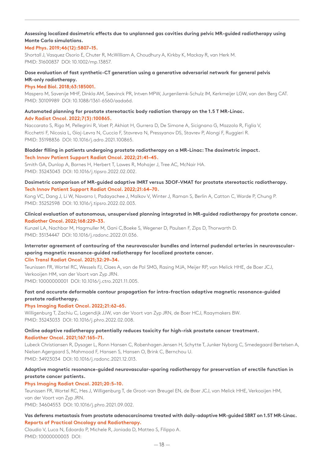# **Assessing localized dosimetric effects due to unplanned gas cavities during pelvic MR-guided radiotherapy using Monte Carlo simulations.**

# **Med Phys. 2019;46(12):5807–15.**

Shortall J, Vasquez Osorio E, Chuter R, McWilliam A, Choudhury A, Kirkby K, Mackay R, van Herk M. PMID: 31600837 DOI: 10.1002/mp.13857.

# **Dose evaluation of fast synthetic-CT generation using a generative adversarial network for general pelvis MR-only radiotherapy.**

### **Phys Med Biol. 2018;63:185001.**

Maspero M, Savenije MHF, Dinkla AM, Seevinck PR, Intven MPW, Jurgenliemk-Schulz IM, Kerkmeijer LGW, van den Berg CAT. PMID: 30109989 DOI: 10.1088/1361-6560/aada6d.

# **Automated planning for prostate stereotactic body radiation therapy on the 1.5 T MR-Linac. Adv Radiat Oncol. 2022;7(3):100865.**

Naccarato S, Rigo M, Pellegrini R, Voet P, Akhiat H, Gurrera D, De Simone A, Sicignano G, Mazzola R, Figlia V, Ricchetti F, Nicosia L, Giaj-Levra N, Cuccia F, Stavreva N, Pressyanov DS, Stavrev P, Alongi F, Ruggieri R. PMID: 35198836 DOI: 10.1016/j.adro.2021.100865.

## **Bladder filling in patients undergoing prostate radiotherapy on a MR-Linac: The dosimetric impact. Tech Innov Patient Support Radiat Oncol. 2022;21:41–45.**

Smith GA, Dunlop A, Barnes H, Herbert T, Lawes R, Mohajer J, Tree AC, McNair HA. PMID: 35243043 DOI: 10.1016/j.tipsro.2022.02.002.

# **Dosimetric comparison of MR-guided adaptive IMRT versus 3DOF-VMAT for prostate stereotactic radiotherapy. Tech Innov Patient Support Radiat Oncol. 2022;21:64–70.**

Kong VC, Dang J, Li W, Navarro I, Padayachee J, Malkov V, Winter J, Raman S, Berlin A, Catton C, Warde P, Chung P. PMID: 35252598 DOI: 10.1016/j.tipsro.2022.02.003.

# **Clinical evaluation of autonomous, unsupervised planning integrated in MR-guided radiotherapy for prostate cancer. Radiother Oncol. 2022;168:229–33.**

Kunzel LA, Nachbar M, Hagmuller M, Gani C,Boeke S, Wegener D, Paulsen F, Zips D, Thorwarth D. PMID: 35134447 DOI: 10.1016/j.radonc.2022.01.036.

# **Interrater agreement of contouring of the neurovascular bundles and internal pudendal arteries in neurovascularsparing magnetic resonance-guided radiotherapy for localized prostate cancer.**

**Clin Transl Radiat Oncol. 2021;32:29–34.**

Teunissen FR, Wortel RC, Wessels FJ, Claes A, van de Pol SMG, Rasing MJA, Meijer RP, van Melick HHE, de Boer JCJ, Verkooijen HM, van der Voort van Zyp JRN. PMID: 10000000001 DOI: 10.1016/j.ctro.2021.11.005.

# **Fast and accurate deformable contour propagation for intra-fraction adaptive magnetic resonance-guided prostate radiotherapy.**

## **Phys Imaging Radiat Oncol. 2022;21:62–65.**

Willigenburg T, Zachiu C, Lagendijk JJW, van der Voort van Zyp JRN, de Boer HCJ, Raaymakers BW. PMID: 35243033 DOI: 10.1016/j.phro.2022.02.008.

# **Online adaptive radiotherapy potentially reduces toxicity for high-risk prostate cancer treatment. Radiother Oncol. 2021;167:165–71.**

Lubeck Christiansen R, Dysager L, Ronn Hansen C, Robenhagen Jensen H, Schytte T, Junker Nyborg C, Smedegaard Bertelsen A, Nielsen Agergaard S, Mahmood F, Hansen S, Hansen O, Brink C, Bernchou U. PMID: 34923034 DOI: 10.1016/j.radonc.2021.12.013.

# **Adaptive magnetic resonance-guided neurovascular-sparing radiotherapy for preservation of erectile function in prostate cancer patients.**

# **Phys Imaging Radiat Oncol. 2021;20:5–10.**

Teunissen FR, Wortel RC, Hes J, Willigenburg T, de Groot-van Breugel EN, de Boer JCJ, van Melick HHE, Verkooijen HM, van der Voort van Zyp JRN.

PMID: 34604553 DOI: 10.1016/j.phro.2021.09.002.

# **Vas deferens metastasis from prostate adenocarcinoma treated with daily-adaptive MR-guided SBRT on 1.5T MR-Linac. Reports of Practical Oncology and Radiotherapy.**

Claudio V, Luca N, Edoardo P, Michele R, Joniada D, Matteo S, Filippo A. PMID: 10000000003 DOI: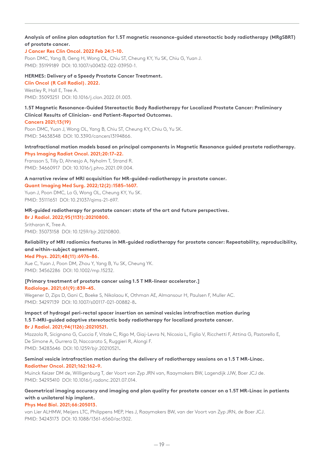# **Analysis of online plan adaptation for 1.5T magnetic resonance-guided stereotactic body radiotherapy (MRgSBRT) of prostate cancer.**

# **J Cancer Res Clin Oncol. 2022 Feb 24:1–10.**

Poon DMC, Yang B, Geng H, Wong OL, Chiu ST, Cheung KY, Yu SK, Chiu G, Yuan J. PMID: 35199189 DOI: 10.1007/s00432-022-03950-1.

## **HERMES: Delivery of a Speedy Prostate Cancer Treatment.**

**Clin Oncol (R Coll Radiol). 2022.** Westley R, Hall E, Tree A. PMID: 35093251 DOI: 10.1016/j.clon.2022.01.003.

# **1.5T Magnetic Resonance-Guided Stereotactic Body Radiotherapy for Localized Prostate Cancer: Preliminary Clinical Results of Clinician- and Patient-Reported Outcomes.**

## **Cancers 2021;13(19)**

Poon DMC, Yuan J, Wong OL, Yang B, Chiu ST, Cheung KY, Chiu G, Yu SK. PMID: 34638348 DOI: 10.3390/cancers13194866.

# **Intrafractional motion models based on principal components in Magnetic Resonance guided prostate radiotherapy. Phys Imaging Radiat Oncol. 2021;20:17–22.**

Fransson S, Tilly D, Ahnesjo A, Nyholm T, Strand R. PMID: 34660917 DOI: 10.1016/j.phro.2021.09.004.

## **A narrative review of MRI acquisition for MR-guided-radiotherapy in prostate cancer. Quant Imaging Med Surg. 2022;12(2):1585–1607.**

Yuan J, Poon DMC, Lo G, Wong OL, Cheung KY, Yu SK. PMID: 35111651 DOI: 10.21037/qims-21-697.

# **MR-guided radiotherapy for prostate cancer: state of the art and future perspectives.**

**Br J Radiol. 2022;95(1131):20210800.** Sritharan K, Tree A. PMID: 35073158 DOI: 10.1259/bjr.20210800.

# **Reliability of MRI radiomics features in MR-guided radiotherapy for prostate cancer: Repeatability, reproducibility, and within-subject agreement.**

## **Med Phys. 2021;48(11):6976–86.**

Xue C, Yuan J, Poon DM, Zhou Y, Yang B, Yu SK, Cheung YK. PMID: 34562286 DOI: 10.1002/mp.15232.

# **[Primary treatment of prostate cancer using 1.5 T MR-linear accelerator.]**

## **Radiologe. 2021;61(9):839–45.**

Wegener D, Zips D, Gani C, Boeke S, Nikolaou K, Othman AE, Almansour H, Paulsen F, Muller AC. PMID: 34297139 DOI: 10.1007/s00117-021-00882-8**.**

# **Impact of hydrogel peri-rectal spacer insertion on seminal vesicles intrafraction motion during 1.5 T-MRI-guided adaptive stereotactic body radiotherapy for localized prostate cancer. Br J Radiol. 2021;94(1126):20210521.**

Mazzola R, Sicignano G, Cuccia F, Vitale C, Rigo M, Giaj-Levra N, Nicosia L, Figlia V, Ricchetti F, Attina G, Pastorello E, De Simone A, Gurrera D, Naccarato S, Ruggieri R, Alongi F. PMID: 34283646 DOI: 10.1259/bjr.20210521**.**

# **Seminal vesicle intrafraction motion during the delivery of radiotherapy sessions on a 1.5 T MR-Linac. Radiother Oncol. 2021;162:162–9.**

Muinck Keizer DM de, Willigenburg T, der Voort van Zyp JRN van, Raaymakers BW, Lagendijk JJW, Boer JCJ de. PMID: 34293410 DOI: 10.1016/j.radonc.2021.07.014.

# **Geometrical imaging accuracy and imaging and plan quality for prostate cancer on a 1.5T MR-Linac in patients with a unilateral hip implant.**

# **Phys Med Biol. 2021;66:205013.**

van Lier ALHMW, Meijers LTC, Philippens MEP, Hes J, Raaymakers BW, van der Voort van Zyp JRN, de Boer JCJ. PMID: 34243173 DOI: 10.1088/1361-6560/ac1302.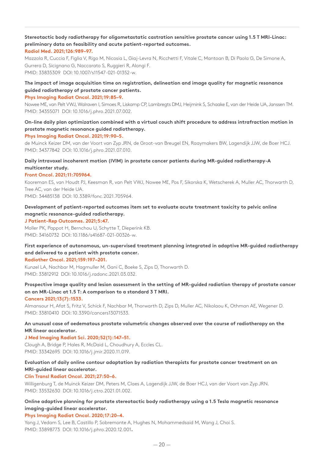# **Stereotactic body radiotherapy for oligometastatic castration sensitive prostate cancer using 1.5 T MRI-Linac: preliminary data on feasibility and acute patient-reported outcomes. Radiol Med. 2021;126:989–97.**

Mazzola R, Cuccia F, Figlia V, Rigo M, Nicosia L, Giaj-Levra N, Ricchetti F, Vitale C, Mantoan B, Di Paola G, De Simone A, Gurrera D, Sicignano G, Naccarato S, Ruggieri R, Alongi F. PMID: 33835309 DOI: 10.1007/s11547-021-01352-w.

# **The impact of image acquisition time on registration, delineation and image quality for magnetic resonance guided radiotherapy of prostate cancer patients.**

### **Phys Imaging Radiat Oncol. 2021;19:85–9.**

Nowee ME, van Pelt VWJ, Walraven I, Simoes R, Liskamp CP, Lambregts DMJ, Heijmink S, Schaake E, van der Heide UA, Janssen TM. PMID: 34355071 DOI: 10.1016/j.phro.2021.07.002.

# **On-line daily plan optimization combined with a virtual couch shift procedure to address intrafraction motion in prostate magnetic resonance guided radiotherapy.**

## **Phys Imaging Radiat Oncol. 2021;19:90–5.**

de Muinck Keizer DM, van der Voort van Zyp JRN, de Groot-van Breugel EN, Raaymakers BW, Lagendijk JJW, de Boer HCJ. PMID: 34377842 DOI: 10.1016/j.phro.2021.07.010.

# **Daily intravoxel incoherent motion (IVIM) in prostate cancer patients during MR-guided radiotherapy-A multicenter study.**

# **Front Oncol. 2021;11:705964.**

Kooreman ES, van Houdt PJ, Keesman R, van Pelt VWJ, Nowee ME, Pos F, Sikorska K, Wetscherek A, Muller AC, Thorwarth D, Tree AC, van der Heide UA.

PMID: 34485138 DOI: 10.3389/fonc.2021.705964.

# **Development of patient-reported outcomes item set to evaluate acute treatment toxicity to pelvic online magnetic resonance-guided radiotherapy.**

## **J Patient-Rep Outcomes. 2021;5:47.**

Moller PK, Pappot H, Bernchou U, Schytte T, Dieperink KB. PMID: 34160732 DOI: 10.1186/s41687-021-00326-w.

# **First experience of autonomous, un-supervised treatment planning integrated in adaptive MR-guided radiotherapy and delivered to a patient with prostate cancer.**

## **Radiother Oncol. 2021;159:197–201.**

Kunzel LA, Nachbar M, Hagmuller M, Gani C, Boeke S, Zips D, Thorwarth D. PMID: 33812912 DOI: 10.1016/j.radonc.2021.03.032.

# **Prospective image quality and lesion assessment in the setting of MR-guided radiation therapy of prostate cancer on an MR-Linac at 1.5 T: A comparison to a standard 3 T MRI.**

## **Cancers 2021;13(7):1533.**

Almansour H, Afat S, Fritz V, Schick F, Nachbar M, Thorwarth D, Zips D, Muller AC, Nikolaou K, Othman AE, Wegener D. PMID: 33810410 DOI: 10.3390/cancers13071533.

# **An unusual case of oedematous prostate volumetric changes observed over the course of radiotherapy on the MR linear accelerator.**

## **J Med Imaging Radiat Sci. 2020;52(1):147–51.**

Clough A, Bridge P, Hales R, McDaid L, Choudhury A, Eccles CL. PMID: 33342695 DOI: 10.1016/j.jmir.2020.11.019.

# **Evaluation of daily online contour adaptation by radiation therapists for prostate cancer treatment on an MRI-guided linear accelerator.**

# **Clin Transl Radiat Oncol. 2021;27:50–6.**

Willigenburg T, de Muinck Keizer DM, Peters M, Claes A, Lagendijk JJW, de Boer HCJ, van der Voort van Zyp JRN. PMID: 33532630 DOI: 10.1016/j.ctro.2021.01.002.

# **Online adaptive planning for prostate stereotactic body radiotherapy using a 1.5 Tesla magnetic resonance imaging-guided linear accelerator.**

# **Phys Imaging Radiat Oncol. 2020;17:20–4.**

Yang J, Vedam S, Lee B, Castillo P, Sobremonte A, Hughes N, Mohammedsaid M, Wang J, Choi S. PMID: 33898773 DOI: 10.1016/j.phro.2020.12.001**.**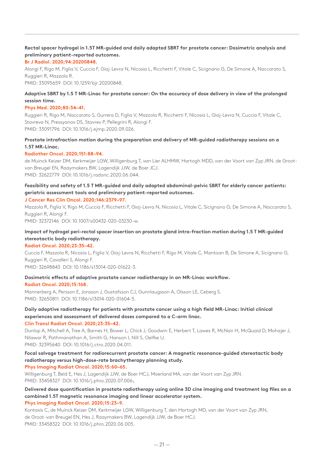# **Rectal spacer hydrogel in 1.5T MR-guided and daily adapted SBRT for prostate cancer: Dosimetric analysis and preliminary patient-reported outcomes.**

## **Br J Radiol. 2020;94:20200848.**

Alongi F, Rigo M, Figlia V, Cuccia F, Giaj-Levra N, Nicosia L, Ricchetti F, Vitale C, Sicignano G, De Simone A, Naccarato S, Ruggieri R, Mazzola R.

PMID: 33095659 DOI: 10.1259/bjr.20200848.

# **Adaptive SBRT by 1.5 T MR-Linac for prostate cancer: On the accuracy of dose delivery in view of the prolonged session time.**

# **Phys Med. 2020;80:34–41.**

Ruggieri R, Rigo M, Naccarato S, Gurrera D, Figlia V, Mazzola R, Ricchetti F, Nicosia L, Giaj-Levra N, Cuccia F, Vitale C, Stavreva N, Pressyanov DS, Stavrev P, Pellegrini R, Alongi F. PMID: 33091796 DOI: 10.1016/j.ejmp.2020.09.026.

# **Prostate intrafraction motion during the preparation and delivery of MR-guided radiotherapy sessions on a 1.5T MR-Linac.**

# **Radiother Oncol. 2020;151:88–94.**

de Muinck Keizer DM, Kerkmeijer LGW, Willigenburg T, van Lier ALHMW, Hartogh MDD, van der Voort van Zyp JRN, de Grootvan Breugel EN, Raaymakers BW, Lagendijk JJW, de Boer JCJ. PMID: 32622779 DOI: 10.1016/j.radonc.2020.06.044.

# **Feasibility and safety of 1.5 T MR-guided and daily adapted abdominal-pelvic SBRT for elderly cancer patients: geriatric assessment tools and preliminary patient-reported outcomes.**

# **J Cancer Res Clin Oncol. 2020;146:2379–97.**

Mazzola R, Figlia V, Rigo M, Cuccia F, Ricchetti F, Giaj-Levra N, Nicosia L, Vitale C, Sicignano G, De Simone A, Naccarato S, Ruggieri R, Alongi F.

PMID: 32372146 DOI: 10.1007/s00432-020-03230-w.

# **Impact of hydrogel peri-rectal spacer insertion on prostate gland intra-fraction motion during 1.5 T MR-guided stereotactic body radiotherapy.**

## **Radiat Oncol. 2020;23:35–42.**

Cuccia F, Mazzola R, Nicosia L, Figlia V, Giaj-Levra N, Ricchetti F, Rigo M, Vitale C, Mantoan B, De Simone A, Sicignano G, Ruggieri R, Cavalleri S, Alongi F.

PMID: 32698843 DOI: 10.1186/s13014-020-01622-3.

#### **Dosimetric effects of adaptive prostate cancer radiotherapy in an MR-Linac workflow. Radiat Oncol. 2020;15:168.**

Mannerberg A, Persson E, Jonsson J, Gustafsson CJ, Gunnlaugsson A, Olsson LE, Ceberg S. PMID: 32650811 DOI: 10.1186/s13014-020-01604-5.

# **Daily adaptive radiotherapy for patients with prostate cancer using a high field MR-Linac: Initial clinical experiences and assessment of delivered doses compared to a C-arm linac.**

**Clin Transl Radiat Oncol. 2020;23:35–42.**

Dunlop A, Mitchell A, Tree A, Barnes H, Bower L, Chick J, Goodwin E, Herbert T, Lawes R, McNair H, McQuaid D, Mohajer J, Nilawar R, Pathmanathan A, Smith G, Hanson I, Nill S, Oelfke U. PMID: 32395640 DOI: 10.1016/j.ctro.2020.04.011.

**Focal salvage treatment for radiorecurrent prostate cancer: A magnetic resonance-guided stereotactic body radiotherapy versus high-dose-rate brachytherapy planning study. Phys Imaging Radiat Oncol. 2020;15:60–65.**

Willigenburg T, Beld E, Hes J, Lagendijk JJW, de Boer HCJ, Moerland MA, van der Voort van Zyp JRN. PMID: 33458327 DOI: 10.1016/j.phro.2020.07.006**.**

**Delivered dose quantification in prostate radiotherapy using online 3D cine imaging and treatment log files on a combined 1.5T magnetic resonance imaging and linear accelerator system. Phys imaging Radiat Oncol. 2020;15:23–9.**

Kontaxis C, de Muinck Keizer DM, Kerkmeijer LGW, Willigenburg T, den Hartogh MD, van der Voort van Zyp JRN, de Groot-van Breugel EN, Hes J, Raaymakers BW, Lagendijk JJW, de Boer HCJ. PMID: 33458322 DOI: 10.1016/j.phro.2020.06.005.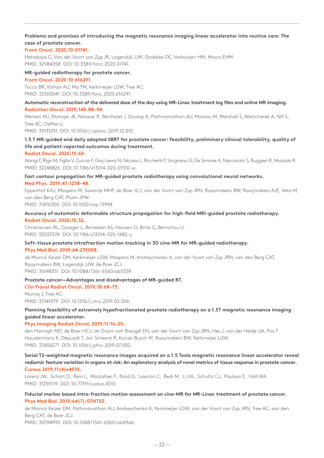# **Problems and promises of introducing the magnetic resonance imaging linear accelerator into routine care: The case of prostate cancer.**

# **Front Oncol. 2020;10:01741.**

Hehakaya C, Van der Voort van Zyp JR, Lagendijk JJW, Grobbee DE, Verkooijen HM, Moors EHM. PMID: 32984058 DOI: 10.3389/fonc.2020.01741.

## **MR-guided radiotherapy for prostate cancer.**

## **Front Oncol. 2020:10:616291.**

Tocco BR, Kishan AU, Ma TM, Kerkmeijer LGW, Tree AC. PMID: 33363041 DOI: 10.3389/fonc.2020.616291.

## **Automatic reconstruction of the delivered dose of the day using MR-Linac treatment log files and online MR imaging. Radiother Oncol. 2019;145:88–94.**

Menten MJ, Mohajer JK, Nilawar R, Bertholet J, Dunlop A, Pathmanathan AU, Moreau M, Marshall S, Wetscherek A, Nill S, Tree AC, Oelfke U.

PMID: 31931291 DOI: 10.1016/j.radonc.2019.12.010.

# **1.5 T MR-guided and daily adapted SBRT for prostate cancer: Feasibility, preliminary clinical tolerability, quality of life and patient-reported outcomes during treatment.**

## **Radiat Oncol. 2020;15:69.**

Alongi F, Rigo M, Figlia V, Cuccia F, Giaj-Levra N, Nicosia L, Ricchetti F, Sicignano G, De Simone A, Naccarato S, Ruggieri R, Mazzola R. PMID: 32248826 DOI: 10.1186/s13014-020-01510-w.

# **Fast contour propagation for MR-guided prostate radiotherapy using convolutional neural networks. Med Phys. 2019;47:1238–48.**

Eppenhof KAJ, Maspero M, Savenije MHF, de Boer JCJ, van der Voort van Zyp JRN, Raaymakers BW, Raaijmakers AJE, Veta M, van den Berg CAT, Pluim JPW.

PMID: 31876300 DOI: 10.1002/mp.13994.

# **Accuracy of automatic deformable structure propagation for high-field MRI-guided prostate radiotherapy. Radiat Oncol. 2020;15:32.**

Christiansen RL, Dysager L, Bertelsen AS, Hansen O, Brink C, Bernchou U. PMID: 32033574 DOI: 10.1186/s13014-020-1482-y.

# **Soft-tissue prostate intrafraction motion tracking in 3D cine-MR for MR-guided radiotherapy.**

## **Phys Med Biol. 2019;64:235008.**

de Muinck Keizer DM, Kerkmeijer LGW, Maspero M, Andreychenko A, van der Voort van Zyp JRN, van den Berg CAT, Raaymakers BW, Lagendijk JJW, de Boer JCJ.

PMID: 31698351 DOI: 10.1088/1361-6560/ab5539.

## **Prostate cancer—Advantages and disadvantages of MR-guided RT.**

## **Clin Transl Radiat Oncol. 2019;18:68–73.**

Murray J, Tree AC. PMID: 31341979 DOI: 10.1016/j.ctro.2019.03.006.

# **Planning feasibility of extremely hypofractionated prostate radiotherapy on a 1.5T magnetic resonance imaging guided linear accelerator.**

# **Phys Imaging Radiat Oncol. 2019;11:16–20.**

den Hartogh MD, de Boer HCJ, de Groot-van Breugel EN, van der Voort van Zyp JRN, Hes J, van der Heide UA, Pos F, Haustermans K, Depuydt T, Jan Smeenk R, Kunze-Busch M, Raaymakers BW, Kerkmeijer LGW. PMID: 33458271 DOI: 10.1016/j.phro.2019.07.002.

# **Serial T2-weighted magnetic resonance images acquired on a 1.5 Tesla magnetic resonance linear accelerator reveal radiomic feature variation in organs at risk: An exploratory analysis of novel metrics of tissue response in prostate cancer. Cureus 2019;11(4)e4510.**

Lorenz JW, Schott D, Rein L, Mostafaei F, Noid G, Lawton C, Bedi M, Li XA, Schultz CJ, Paulson E, Hall WA. PMID: 31259119 DOI: 10.7759/cureus.4510.

# **Fiducial marker based intra-fraction motion assessment on cine-MR for MR-Linac treatment of prostate cancer. Phys Med Biol. 2019;64(7):07NT02.**

de Muinck Keizer DM, Pathmanathan AU, Andreychenko A, Kerkmeijer LGW, van der Voort van Zyp JRN, Tree AC, van den Berg CAT, de Boer JCJ.

PMID: 30794995 DOI: 10.1088/1361-6560/ab09a6.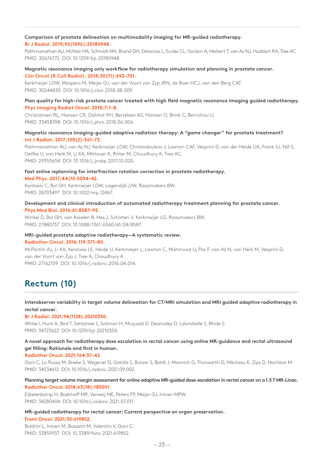# **Comparison of prostate delineation on multimodality imaging for MR-guided radiotherapy.**

# **Br J Radiol. 2019;92(1096):20180948.**

Pathmanathan AU, McNair HA, Schmidt MA, Brand DH, Delacroix L, Eccles CL, Gordon A, Herbert T, van As NJ, Huddart RA, Tree AC. PMID: 30676772 DOI: 10.1259/bjr.20180948.

# **Magnetic resonance imaging only workflow for radiotherapy simulation and planning in prostate cancer.**

**Clin Oncol (R Coll Radiol). 2018;30(11):692–701.** Kerkmeijer LGW, Maspero M, Meijer GJ, van der Voort van Zyp JRN, de Boer HCJ, van den Berg CAT. PMID: 30244830 DOI: 10.1016/j.clon.2018.08.009.

# **Plan quality for high-risk prostate cancer treated with high field magnetic resonance imaging guided radiotherapy. Phys Imaging Radiat Oncol. 2018;7;1–8.**

Christiansen RL, Hansen CR, Dahlrot RH, Bertelsen AS, Hansen O, Brink C, Bernchou U. PMID: 33458398 DOI: 10.1016/j.phro.2018.06.006.

# **Magnetic resonance imaging-guided adaptive radiation therapy: A "game changer" for prostate treatment? Int J Radiat. 2017;100(2):361–73.**

Pathmanathan AU, van As NJ, Kerkmeijer LGW, Christodouleas J, Lawton CAF, Vesprini D, van der Heide UA, Frank SJ, Nill S, Oelfke U, van Herk M, Li XA, Mittauer K, Ritter M, Choudhury A, Tree AC. PMID: 29353654 DOI: 10.1016/j.ijrobp.2017.10.020.

# **Fast online replanning for interfraction rotation correction in prostate radiotherapy.**

**Med Phys. 2017;44(10:5034–42.**

Kontaxis C, Bol GH, Kerkmeijer LGW, Lagendijk JJW, Raaymakers BW. PMID: 28703497 DOI: 10.1002/mp.12467.

# **Development and clinical introduction of automated radiotherapy treatment planning for prostate cancer. Phys Med Biol. 2016;61:8587–95.**

Winkel D, Bol GH, van Asselen B, Hes J, Scholten V, Kerkmeijer LG, Raaymakers BW. PMID: 27880737 DOI: 10.1088/1361-6560/61/24/8587.

# **MRI-guided prostate adaptive radiotherapy—A systematic review. Radiother Oncol. 2016:119:371–80.**

McPartlin AJ, Li XA, Kershaw LE, Heide U, Kerkmeijer L, Lawton C, Mahmood U, Pos F, van As N, van Herk M, Vesprini D, van der Voort van Zyp J, Tree A, Choudhury A. PMID: 27162159 DOI: 10.1016/j.radonc.2016.04.014.

# **Rectum (10)**

# **Interobserver variability in target volume delineation for CT/MRI simulation and MRI guided adaptive radiotherapy in rectal cancer.**

# **Br J Radiol. 2021;94(1128):20210350.**

White I, Hunt A, Bird T, Settatree S, Soliman H, Mcquaid D, Dearnaley D, Lalondrelle S, Bhide S. PMID: 34723622 DOI: 10.1259/bjr.20210350.

# **A novel approach for radiotherapy dose escalation in rectal cancer using online MR-guidance and rectal ultrasound gel filling: Rationale and first in human.**

## **Radiother Oncol. 2021;164:37–42**

Gani C, Lo Russo M, Boeke S, Wegener D, Gatidis S, Butzer S, Boldt J, Monnich D, Thorwarth D, Nikolaou K, Zips D, Nachbar M. PMID: 34534612 DOI: 10.1016/j.radonc.2021.09.002.

# **Planning target volume margin assessment for online adaptive MR-guided dose-escalation in rectal cancer on a 1.5 T MR-Linac. Radiother Oncol. 2018;63(18):185001.**

Eijkelenkamp H, Boekhoff MR, Verweij ME, Peters FP, Meijer GJ, Intven MPW. PMID: 34280404 DOI: 10.1016/j.radonc.2021.07.011.

# **MR-guided radiotherapy for rectal cancer: Current perspective on organ preservation.**

## **Front Oncol. 2021;30:619852.**

Boldrini L, Intven M, Bassetti M, Valentini V, Gani C. PMID: 33859937 DOI: 10.3389/fonc.2021.619852.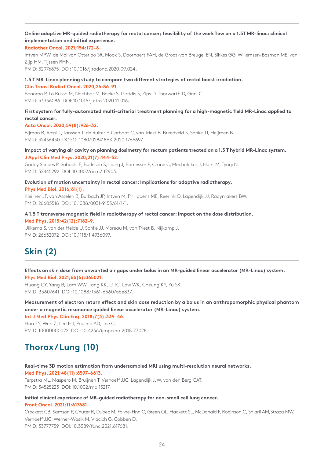# **Online adaptive MR-guided radiotherapy for rectal cancer; feasibility of the workflow on a 1.5T MR-linac: clinical implementation and initial experience.**

## **Radiother Oncol. 2021;154:172–8.**

Intven MPW, de Mol van Otterloo SR, Mook S, Doornaert PAH, de Groot-van Breugel EN, Sikkes GG, Willemsen-Bosman ME, van Zijp HM, Tijssen RHN.

PMID: 32976875 DOI: 10.1016/j.radonc.2020.09.024**.**

# **1.5 T MR-Linac planning study to compare two different strategies of rectal boost irradiation.**

### **Clin Transl Radiat Oncol. 2020;26:86–91.**

Bonomo P, Lo Russo M, Nachbar M, Boeke S, Gatidis S, Zips D, Thorwarth D, Gani C. PMID: 33336086 DOI: 10.1016/j.ctro.2020.11.016**.**

## **First system for fully-automated multi-criterial treatment planning for a high-magnetic field MR-Linac applied to rectal cancer.**

## **Acta Oncol. 2020;59(8):926–32.**

Bijman R, Rossi L, Janssen T, de Ruiter P, Carbaat C, van Triest B, Breedveld S, Sonke JJ, Heijmen B. PMID: 32436450 DOI: 10.1080/0284186X.2020.1766697.

## **Impact of varying air cavity on planning dosimetry for rectum patients treated on a 1.5 T hybrid MR-Linac system. J Appl Clin Med Phys. 2020;21(7):144–52.**

Godoy Scripes P, Subashi E, Burleson S, Liang J, Romesser P, Crane C, Mechalakos J, Hunt M, Tyagi N. PMID: 32445292 DOI: 10.1002/acm2.12903.

# **Evolution of motion uncertainty in rectal cancer: Implications for adaptive radiotherapy.**

**Phys Med Biol. 2016;61(1).**

Kleijnen JP, van Asselen B, Burbach JP, Intven M, Philippens ME, Reerink O, Lagendijk JJ, Raaymakers BW. PMID: 26605518 DOI: 10.1088/0031-9155/61/1/1.

# **A 1.5 T transverse magnetic field in radiotherapy of rectal cancer: Impact on the dose distribution. Med Phys. 2015;42(12):7182–9.**

Uilkema S, van der Heide U, Sonke JJ, Moreau M, van Triest B, Nijkamp J. PMID: 26632072 DOI: 10.1118/1.4936097.

# **Skin (2)**

# **Effects on skin dose from unwanted air gaps under bolus in an MR-guided linear accelerator (MR-Linac) system. Phys Med Biol. 2021;66(6):065021.**

Huang CY, Yang B, Lam WW, Tang KK, Li TC, Law WK, Cheung KY, Yu SK. PMID: 33607641 DOI: 10.1088/1361-6560/abe837.

**Measurement of electron return effect and skin dose reduction by a bolus in an anthropomorphic physical phantom under a magnetic resonance guided linear accelerator (MR-Linac) system.**

**Int J Med Phys Clin Eng. 2018;7(3):339–46.**

Han EY, Wen Z, Lee HJ, Paulino AD, Lee C. PMID: 10000000022 DOI: 10.4236/ijmpcero.2018.73028.

# **Thorax / Lung (10)**

## **Real-time 3D motion estimation from undersampled MRI using multi-resolution neural networks. Med Phys. 2021;48(11):6597–6613.**

Terpstra ML, Maspero M, Bruijnen T, Verhoeff JJC, Lagendijk JJW, van den Berg CAT. PMID: 34525223 DOI: 10.1002/mp.15217.

### **Initial clinical experience of MR-guided radiotherapy for non-small cell lung cancer. Front Oncol. 2021;11:617681.**

Crockett CB, Samson P, Chuter R, Dubec M, Faivre-Finn C, Green OL, Hackett SL, McDonald F, Robinson C, Shiarli AM,Straza MW, Verhoeff JJC, Werner-Wasik M, Vlacich G, Cobben D. PMID: 33777759 DOI: 10.3389/fonc.2021.617681.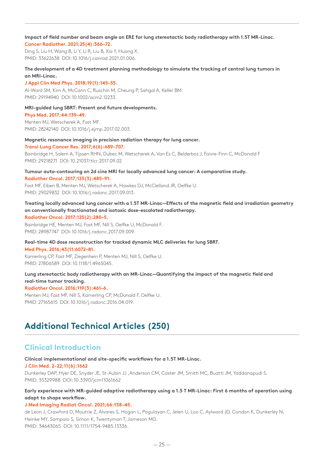**Impact of field number and beam angle on ERE for lung stereotactic body radiotherapy with 1.5T MR-Linac. Cancer Radiother. 2021;25(4):366–72.**

Ding S, Liu H, Wang B, Li Y, Li R, Liu B, Xia Y, Huang X. PMID: 33622638 DOI: 10.1016/j.canrad.2021.01.006.

# **The development of a 4D treatment planning methodology to simulate the tracking of central lung tumors in an MRI-Linac.**

### **J Appl Clin Med Phys. 2018;19(1):145–55.**

Al-Ward SM, Kim A, McCann C, Ruschin M, Cheung P, Sahgal A, Keller BM. PMID: 29194940 DOI: 10.1002/acm2.12233.

## **MRI-guided lung SBRT: Present and future developments.**

**Phys Med. 2017;44:139–49.**

Menten MJ, Wetscherek A, Fast MF. PMID: 28242140 DOI: 10.1016/j.ejmp.2017.02.003.

### **Magnetic resonance imaging in precision radiation therapy for lung cancer.**

#### **Transl Lung Cancer Res. 2017;6(6):689–707.**

Bainbridge H, Salem A, Tijssen RHN, Dubec M, Wetscherek A, Van Es C, Belderbos J, Faivre-Finn C, McDonald F PMID: 29218271 DOI: 10.21037/tlcr.2017.09.02

**Tumour auto-contouring on 2d cine MRI for locally advanced lung cancer: A comparative study. Radiother Oncol. 2017;125(3):485–91.**

Fast MF, Eiben B, Menten MJ, Wetscherek A, Hawkes DJ, McClelland JR, Oelfke U. PMID: 29029832 DOI: 10.1016/j.radonc.2017.09.013.

## **Treating locally advanced lung cancer with a 1.5T MR-Linac—Effects of the magnetic field and irradiation geometry on conventionally fractionated and isotoxic dose-escalated radiotherapy. Radiother Oncol. 2017;125(2):280–5.**

Bainbridge HE, Menten MJ, Fast MF, Nill S, Oelfke U, McDonald F. PMID: 28987747 DOI: 10.1016/j.radonc.2017.09.009.

# **Real-time 4D dose reconstruction for tracked dynamic MLC deliveries for lung SBRT.**

**Med Phys. 2016;43(11:6072–81.**

Kamerling CP, Fast MF, Ziegenhein P, Menten MJ, Nill S, Oelfke U. PMID: 27806589 DOI: 10.1118/1.4965045.

# **Lung stereotactic body radiotherapy with an MR-Linac—Quantifying the impact of the magnetic field and real-time tumor tracking.**

## **Radiother Oncol. 2016;119(3):461–6.**

Menten MJ, Fast MF, Nill S, Kamerling CP, McDonald F, Oelfke U. PMID: 27165615 DOI: 10.1016/j.radonc.2016.04.019.

# **Additional Technical Articles (250)**

# **Clinical Introduction**

## **Clinical implementational and site-specific workflows for a 1.5T MR-Linac.**

## **J Clin Med. 2-22;11(6):1662**

Dunkerley DAP, Hyer DE, Snyder JE, St-Aubin JJ ,Anderson CM, Caster JM, Smith MC, Buatti JM, Yaddanapudi S. PMID: 35329988 DOI: 10.3390/jcm11061662

# **Early experience with MR-guided adaptive radiotherapy using a 1.5 T MR-Linac: First 6 months of operation using adapt to shape workflow.**

## **J Med Imaging Radiat Oncol. 2021;66:138–45.**

de Leon J, Crawford D, Moutrie Z, Alvares S, Hogan L, Pagulayan C, Jelen U, Loo C, Aylward JD, Condon K, Dunkerley N, Heinke MY, Sampaio S, Simon K, Twentyman T, Jameson MG. PMID: 34643065 DOI: 10.1111/1754-9485.13336.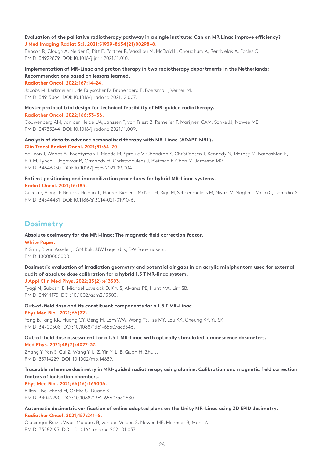# **Evaluation of the palliative radiotherapy pathway in a single institute: Can an MR Linac improve efficiency? J Med Imaging Radiat Sci. 2021;S1939-8654(21)00298–8.**

Benson R, Clough A, Nelder C, Pitt E, Portner R, Vassiliou M, McDaid L, Choudhury A, Rembielak A, Eccles C. PMID: 34922879 DOI: 10.1016/j.jmir.2021.11.010.

# **Implementation of MR-Linac and proton therapy in two radiotherapy departments in the Netherlands: Recommendations based on lessons learned.**

**Radiother Oncol. 2022;167:14–24.**

Jacobs M, Kerkmeijer L, de Ruysscher D, Brunenberg E, Boersma L, Verheij M. PMID: 34915064 DOI: 10.1016/j.radonc.2021.12.007.

# **Master protocol trial design for technical feasibility of MR-guided radiotherapy.**

**Radiother Oncol. 2022;166:33–36.**

Couwenberg AM, van der Heide UA, Janssen T, van Triest B, Remeijer P, Marijnen CAM, Sonke JJ, Nowee ME. PMID: 34785244 DOI: 10.1016/j.radonc.2021.11.009.

# **Analysis of data to advance personalised therapy with MR-Linac (ADAPT-MRL). Clin Transl Radiat Oncol. 2021;31:64–70.**

de Leon J, Woods A, Twentyman T, Meade M, Sproule V, Chandran S, Christiansen J, Kennedy N, Marney M, Barooshian K, Plit M, Lynch J, Jagavkar R, Ormandy H, Christodouleas J, Pietzsch F, Chan M, Jameson MG. PMID: 34646950 DOI: 10.1016/j.ctro.2021.09.004

# **Patient positioning and immobilization procedures for hybrid MR-Linac systems. Radiat Oncol. 2021;16:183.**

Cuccia F, Alongi F, Belka C, Boldrini L, Horner-Rieber J, McNair H, Rigo M, Schoenmakers M, Niyazi M, Slagter J, Votta C, Corradini S. PMID: 34544481 DOI: 10.1186/s13014-021-01910-6.

# **Dosimetry**

### **Absolute dosimetry for the MRI-linac: The magnetic field correction factor. White Paper.**

K Smit, B van Asselen, JGM Kok, JJW Lagendijk, BW Raaymakers. PMID: 10000000000.

# **Dosimetric evaluation of irradiation geometry and potential air gaps in an acrylic miniphantom used for external audit of absolute dose calibration for a hybrid 1.5 T MR-linac system.**

# **J Appl Clin Med Phys. 2022;23(2):e13503.**

Tyagi N, Subashi E, Michael Lovelock D, Kry S, Alvarez PE, Hunt MA, Lim SB. PMID: 34914175 DOI: 10.1002/acm2.13503.

# **Out-of-field dose and its constituent components for a 1.5 T MR-Linac.**

## **Phys Med Biol. 2021;66(22).**

Yang B, Tang KK, Huang CY, Geng H, Lam WW, Wong YS, Tse MY, Lau KK, Cheung KY, Yu SK. PMID: 34700308 DOI: 10.1088/1361-6560/ac3346.

# **Out-of-field dose assessment for a 1.5 T MR-Linac with optically stimulated luminescence dosimeters.**

## **Med Phys. 2021;48(7):4027-37.**

Zhang Y, Yan S, Cui Z, Wang Y, Li Z, Yin Y, Li B, Quan H, Zhu J. PMID: 33714229 DOI: 10.1002/mp.14839.

# **Traceable reference dosimetry in MRI-guided radiotherapy using alanine: Calibration and magnetic field correction factors of ionisation chambers.**

# **Phys Med Biol. 2021;66(16):165006.**

Billas I, Bouchard H, Oelfke U, Duane S. PMID: 34049290 DOI: 10.1088/1361-6560/ac0680.

# **Automatic dosimetric verification of online adapted plans on the Unity MR-Linac using 3D EPID dosimetry. Radiother Oncol. 2021;157:241–6.**

Olaciregui-Ruiz I, Vivas-Maiques B, van der Velden S, Nowee ME, Mijnheer B, Mans A. PMID: 33582193 DOI: 10.1016/j.radonc.2021.01.037.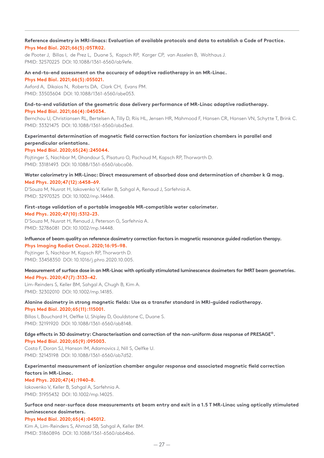## **Reference dosimetry in MRI-linacs: Evaluation of available protocols and data to establish a Code of Practice. Phys Med Biol. 2021;66(5):05TR02.**

de Pooter J, Billas I, de Prez L, Duane S, Kapsch RP, Karger CP, van Asselen B, Wolthaus J. PMID: 32570225 DOI: 10.1088/1361-6560/ab9efe.

## **An end-to-end assessment on the accuracy of adaptive radiotherapy in an MR-Linac. Phys Med Biol. 2021;66(5):055021.**

Axford A, Dikaios N, Roberts DA, Clark CH, Evans PM. PMID: 33503604 DOI: 10.1088/1361-6560/abe053.

### **End-to-end validation of the geometric dose delivery performance of MR-Linac adaptive radiotherapy. Phys Med Biol. 2021;66(4):045034.**

Bernchou U, Christiansen RL, Bertelsen A, Tilly D, Riis HL, Jensen HR, Mahmood F, Hansen CR, Hansen VN, Schytte T, Brink C. PMID: 33321475 DOI: 10.1088/1361-6560/abd3ed.

# **Experimental determination of magnetic field correction factors for ionization chambers in parallel and perpendicular orientations.**

### **Phys Med Biol. 2020;65(24):245044.**

Pojtinger S, Nachbar M, Ghandour S, Pisaturo O, Pachoud M, Kapsch RP, Thorwarth D. PMID: 33181493 DOI: 10.1088/1361-6560/abca06.

### **Water calorimetry in MR-Linac: Direct measurement of absorbed dose and determination of chamber k Q mag. Med Phys. 2020;47(12):6458–69.**

D'Souza M, Nusrat H, Iakovenko V, Keller B, Sahgal A, Renaud J, Sarfehnia A. PMID: 32970325 DOI: 10.1002/mp.14468.

## **First-stage validation of a portable imageable MR-compatible water calorimeter.**

### **Med Phys. 2020;47(10):5312–23.**

D'Souza M, Nusrat H, Renaud J, Peterson G, Sarfehnia A. PMID: 32786081 DOI: 10.1002/mp.14448.

## **Influence of beam quality on reference dosimetry correction factors in magnetic resonance guided radiation therapy. Phys Imaging Radiat Oncol. 2020;16:95–98.**

Pojtinger S, Nachbar M, Kapsch RP, Thorwarth D. PMID: 33458350 DOI: 10.1016/j.phro.2020.10.005.

### **Measurement of surface dose in an MR-Linac with optically stimulated luminescence dosimeters for IMRT beam geometries. Med Phys. 2020;47(7):3133–42.**

Lim-Reinders S, Keller BM, Sahgal A, Chugh B, Kim A. PMID: 32302010 DOI: 10.1002/mp.14185.

# **Alanine dosimetry in strong magnetic fields: Use as a transfer standard in MRI-guided radiotherapy.**

**Phys Med Biol. 2020;65(11):115001.**

Billas I, Bouchard H, Oelfke U, Shipley D, Gouldstone C, Duane S. PMID: 32191920 DOI: 10.1088/1361-6560/ab8148.

## **Edge effects in 3D dosimetry: Characterisation and correction of the non-uniform dose response of PRESAGE®. Phys Med Biol. 2020;65(9):095003.**

Costa F, Doran SJ, Hanson IM, Adamovics J, Nill S, Oelfke U. PMID: 32143198 DOI: 10.1088/1361-6560/ab7d52.

# **Experimental measurement of ionization chamber angular response and associated magnetic field correction factors in MR-Linac.**

## **Med Phys. 2020;47(4):1940–8.**

Iakovenko V, Keller B, Sahgal A, Sarfehnia A. PMID: 31955432 DOI: 10.1002/mp.14025.

# **Surface and near-surface dose measurements at beam entry and exit in a 1.5 T MR-Linac using optically stimulated luminescence dosimeters.**

## **Phys Med Biol. 2020;65(4):045012.**

Kim A, Lim-Reinders S, Ahmad SB, Sahgal A, Keller BM. PMID: 31860896 DOI: 10.1088/1361-6560/ab64b6.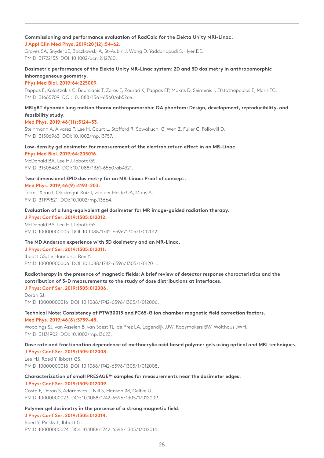# **Commissioning and performance evaluation of RadCalc for the Elekta Unity MRI-Linac.**

## **J Appl Clin Med Phys. 2019;20(12):54–62.**

Graves SA, Snyder JE, Boczkowski A, St-Aubin J, Wang D, Yaddanapudi S, Hyer DE. PMID: 31722133 DOI: 10.1002/acm2.12760.

## **Dosimetric performance of the Elekta Unity MR-Linac system: 2D and 3D dosimetry in anthropomorphic inhomogeneous geometry.**

### **Phys Med Biol. 2019;64:225009.**

Pappas E, Kalaitzakis G, Boursianis T, Zoros E, Zourari K, Pappas EP, Makris D, Seimenis I, Efstathopoulos E, Maris TG. PMID: 31665709 DOI: 10.1088/1361-6560/ab52ce.

# **MRIgRT dynamic lung motion thorax anthropomorphic QA phantom: Design, development, reproducibility, and feasibility study.**

## **Med Phys. 2019;46(11):5124–33.**

Steinmann A, Alvarez P, Lee H, Court L, Stafford R, Sawakuchi G, Wen Z, Fuller C, Followill D. PMID: 31506963 DOI: 10.1002/mp.13757.

### **Low-density gel dosimeter for measurement of the electron return effect in an MR-Linac. Phys Med Biol. 2019;64:205016.**

McDonald BA, Lee HJ, Ibbott GS. PMID: 31505483 DOI: 10.1088/1361-6560/ab4321.

## **Two-dimensional EPID dosimetry for an MR-Linac: Proof of concept. Med Phys. 2019;46(9):4193–203.**

Torres-Xirau I, Olaciregui-Ruiz I, van der Heide UA, Mans A. PMID: 31199521 DOI: 10.1002/mp.13664.

# **Evaluation of a lung-equivalent gel dosimeter for MR image-guided radiation therapy.**

**J Phys: Conf Ser. 2019;1305:012012.** McDonald BA, Lee HJ, Ibbott GS. PMID: 10000000005 DOI: 10.1088/1742-6596/1305/1/012012.

## **The MD Anderson experience with 3D dosimetry and an MR-Linac.**

**J Phys: Conf Ser. 2019;1305:012011.** Ibbott GS, Le Hannah J, Roe Y. PMID: 10000000006 DOI: 10.1088/1742-6596/1305/1/012011.

# **Radiotherapy in the presence of magnetic fields: A brief review of detector response characteristics and the contribution of 3-D measurements to the study of dose distributions at interfaces.**

## **J Phys: Conf Ser. 2019;1305:012006.** Doran SJ. PMID: 10000000016 DOI: 10.1088/1742-6596/1305/1/012006.

## **Technical Note: Consistency of PTW30013 and FC65-G ion chamber magnetic field correction factors. Med Phys. 2019;46(8):3739–45.**

Woodings SJ, van Asselen B, van Soest TL, de Prez LA, Lagendijk JJW, Raaymakers BW, Wolthaus JWH. PMID: 31131902 DOI: 10.1002/mp.13623.

# **Dose rate and fractionation dependence of methacrylic acid based polymer gels using optical and MRI techniques. J Phys: Conf Ser. 2019;1305:012008.**

Lee HJ, Roed Y, Ibbott GS. PMID: 10000000018 DOI: 10.1088/1742-6596/1305/1/012008**.**

# **Characterization of small PRESAGE™ samples for measurements near the dosimeter edges.**

# **J Phys: Conf Ser. 2019;1305:012009.**

Costa F, Doran S, Adamovics J, Nill S, Hanson IM, Oelfke U. PMID: 10000000023 DOI: 10.1088/1742-6596/1305/1/012009.

# **Polymer gel dosimetry in the presence of a strong magnetic field.**

## **J Phys: Conf Ser. 2019;1305:012014.**

Roed Y, Pinsky L, Ibbott G. PMID: 10000000024 DOI: 10.1088/1742-6596/1305/1/012014.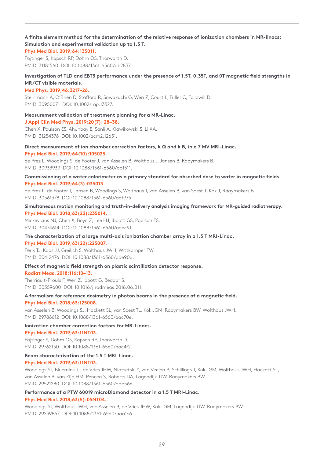# **A finite element method for the determination of the relative response of ionization chambers in MR-linacs: Simulation and experimental validation up to 1.5 T.**

### **Phys Med Biol. 2019;64:135011.**

Pojtinger S, Kapsch RP, Dohm OS, Thorwarth D. PMID: 31181560 DOI: 10.1088/1361-6560/ab2837.

# **Investigation of TLD and EBT3 performance under the presence of 1.5T, 0.35T, and 0T magnetic field strengths in MR/CT visible materials.**

## **Med Phys. 2019;46:3217–26.**

Steinmann A, O'Brien D, Stafford R, Sawakuchi G, Wen Z, Court L, Fuller C, Followill D. PMID: 30950071 DOI: 10.1002/mp.13527.

## **Measurement validation of treatment planning for a MR-Linac.**

#### **J Appl Clin Med Phys. 2019;20(7): 28–38.**

Chen X, Paulson ES, Ahunbay E, Sanli A, Klawikowski S, Li XA. PMID: 31254376 DOI: 10.1002/acm2.12651.

# **Direct measurement of ion chamber correction factors, k Q and k B, in a 7 MV MRI-Linac.**

**Phys Med Biol. 2019;64(10):105025.**

de Prez L, Woodings S, de Pooter J, van Asselen B, Wolthaus J, Jansen B, Raaymakers B. PMID: 30933939 DOI: 10.1088/1361-6560/ab1511.

## **Commissioning of a water calorimeter as a primary standard for absorbed dose to water in magnetic fields. Phys Med Biol. 2019;64(3):035013.**

de Prez L, de Pooter J, Jansen B, Woodings S, Wolthaus J, van Asselen B, van Soest T, Kok J, Raaymakers B. PMID: 30561378 DOI: 10.1088/1361-6560/aaf975.

# **Simultaneous motion monitoring and truth-in-delivery analysis imaging framework for MR-guided radiotherapy. Phys Med Biol. 2018;63(23):235014.**

Mickevicius NJ, Chen X, Boyd Z, Lee HJ, Ibbott GS, Paulson ES. PMID: 30474614 DOI: 10.1088/1361-6560/aaec91.

# **The characterization of a large multi-axis ionization chamber array in a 1.5 T MRI-Linac.**

**Phys Med Biol. 2019;63(22):225007.**

Perik TJ, Kaas JJ, Greilich S, Wolthaus JWH, Wittkamper FW. PMID: 30412476 DOI: 10.1088/1361-6560/aae90a.

## **Effect of magnetic field strength on plastic scintillation detector response.**

#### **Radiat Meas. 2018;116:10–13.**

Therriault-Proulx F, Wen Z, Ibbott G, Beddar S. PMID: 30559600 DOI: 10.1016/j.radmeas.2018.06.011.

# **A formalism for reference dosimetry in photon beams in the presence of a magnetic field.**

## **Phys Med Biol. 2018;63:125008.**

van Asselen B, Woodings SJ, Hackett SL, van Soest TL, Kok JGM, Raaymakers BW, Wolthaus JWH. PMID: 29786612 DOI: 10.1088/1361-6560/aac70e.

# **Ionization chamber correction factors for MR-Linacs.**

## **Phys Med Biol. 2019;63:11NT03.**

Pojtinger S, Dohm OS, Kapsch RP, Thorwarth D. PMID: 29762130 DOI: 10.1088/1361-6560/aac4f2.

## **Beam characterisation of the 1.5 T MRI-Linac.**

## **Phys Med Biol. 2019;63:11NT03.**

Woodings SJ, Bluemink JJ, de Vries JHW, Niatsetski Y, van Veelen B, Schillings J, Kok JGM, Wolthaus JWH, Hackett SL, van Asselen B, van Zijp HM, Pencea S, Roberts DA, Lagendijk JJW, Raaymakers BW. PMID: 29521280 DOI: 10.1088/1361-6560/aab566.

# **Performance of a PTW 60019 microDiamond detector in a 1.5 T MRI-Linac.**

## **Phys Med Biol. 2018;63(5):05NT04.**

Woodings SJ, Wolthaus JWH, van Asselen B, de Vries JHW, Kok JGM, Lagendijk JJW, Raaymakers BW. PMID: 29239857 DOI: 10.1088/1361-6560/aaa1c6.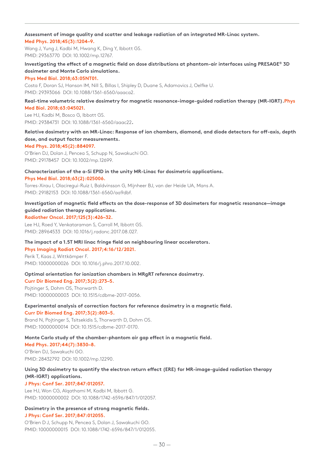## **Assessment of image quality and scatter and leakage radiation of an integrated MR-Linac system. Med Phys. 2018;45(3):1204–9.**

Wang J, Yung J, Kadbi M, Hwang K, Ding Y, Ibbott GS. PMID: 29363770 DOI: 10.1002/mp.12767.

# **Investigating the effect of a magnetic field on dose distributions at phantom-air interfaces using PRESAGE® 3D dosimeter and Monte Carlo simulations.**

## **Phys Med Biol. 2018;63:05NT01.**

Costa F, Doran SJ, Hanson IM, Nill S, Billas I, Shipley D, Duane S, Adamovics J, Oelfke U. PMID: 29393066 DOI: 10.1088/1361-6560/aaaca2.

# **Real-time volumetric relative dosimetry for magnetic resonance-image-guided radiation therapy (MR-IGRT).Phys Med Biol. 2018;63:045021.**

Lee HJ, Kadbi M, Bosco G, Ibbott GS. PMID: 29384731 DOI: 10.1088/1361-6560/aaac22**.**

# **Relative dosimetry with an MR-Linac: Response of ion chambers, diamond, and diode detectors for off-axis, depth dose, and output factor measurements.**

## **Med Phys. 2018;45(2):884097.**

O'Brien DJ, Dolan J, Pencea S, Schupp N, Sawakuchi GO. PMID: 29178457 DOI: 10.1002/mp.12699.

# **Characterization of the a-Si EPID in the unity MR-Linac for dosimetric applications.**

**Phys Med Biol. 2018;63(2):025006.**

Torres-Xirau I, Olaciregui-Ruiz I, Baldvinsson G, Mijnheer BJ, van der Heide UA, Mans A. PMID: 29182153 DOI: 10.1088/1361-6560/aa9dbf.

# **Investigation of magnetic field effects on the dose-response of 3D dosimeters for magnetic resonance—image guided radiation therapy applications.**

# **Radiother Oncol. 2017;125(3):426–32.**

Lee HJ, Roed Y, Venkataraman S, Carroll M, Ibbott GS. PMID: 28964533 DOI: 10.1016/j.radonc.2017.08.027.

## **The impact of a 1.5T MRI linac fringe field on neighbouring linear accelerators.**

# **Phys Imaging Radiat Oncol. 2017;4:16/12/2021.**

Perik T, Kaas J, Wittkämper F. PMID: 10000000026 DOI: 10.1016/j.phro.2017.10.002.

## **Optimal orientation for ionization chambers in MRgRT reference dosimetry.**

## **Curr Dir Biomed Eng. 2017;3(2):273–5.**

Pojtinger S, Dohm OS, Thorwarth D. PMID: 10000000003 DOI: 10.1515/cdbme-2017-0056.

## **Experimental analysis of correction factors for reference dosimetry in a magnetic field.**

# **Curr Dir Biomed Eng. 2017;3(2):803–5.**

Brand N, Pojtinger S, Tsitsekidis S, Thorwarth D, Dohm OS. PMID: 10000000014 DOI: 10.1515/cdbme-2017-0170.

# **Monte Carlo study of the chamber-phantom air gap effect in a magnetic field.**

**Med Phys. 2017;44(7):3830–8.** O'Brien DJ, Sawakuchi GO. PMID: 28432792 DOI: 10.1002/mp.12290.

# **Using 3D dosimetry to quantify the electron return effect (ERE) for MR-image-guided radiation therapy (MR-IGRT) applications.**

# **J Phys: Conf Ser. 2017;847:012057.**

Lee HJ, Won CG, Alqathami M, Kadbi M, Ibbott G. PMID: 10000000002 DOI: 10.1088/1742-6596/847/1/012057.

# **Dosimetry in the presence of strong magnetic fields.**

## **J Phys: Conf Ser. 2017;847:012055.**

O'Brien D J, Schupp N, Pencea S, Dolan J, Sawakuchi GO. PMID: 10000000015 DOI: 10.1088/1742-6596/847/1/012055.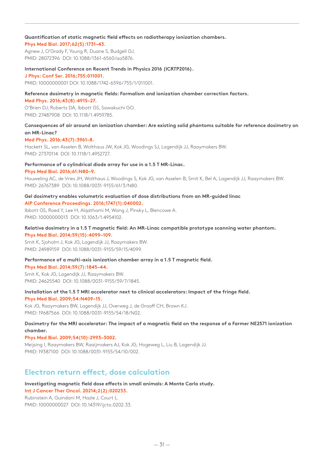## **Quantification of static magnetic field effects on radiotherapy ionization chambers.**

### **Phys Med Biol. 2017;62(5):1731–43.**

Agnew J, O'Grady F, Young R, Duane S, Budgell GJ. PMID: 28072396 DOI: 10.1088/1361-6560/aa5876.

#### **International Conference on Recent Trends in Physics 2016 (ICRTP2016).**

**J Phys: Conf Ser. 2016;755:011001.** PMID: 10000000001 DOI: 10.1088/1742-6596/755/1/011001.

# **Reference dosimetry in magnetic fields: Formalism and ionization chamber correction factors.**

**Med Phys. 2016;43(8):4915–27.**

O'Brien DJ, Roberts DA, Ibbott GS, Sawakuchi GO. PMID: 27487908 DOI: 10.1118/1.4959785.

## **Consequences of air around an ionization chamber: Are existing solid phantoms suitable for reference dosimetry on an MR-Linac?**

### **Med Phys. 2016;43(7):3961–8.**

Hackett SL, van Asselen B, Wolthaus JW, Kok JG, Woodings SJ, Lagendijk JJ, Raaymakers BW. PMID: 27370114 DOI: 10.1118/1.4952727.

### **Performance of a cylindrical diode array for use in a 1.5 T MR-Linac.**

#### **Phys Med Biol. 2016;61:N80–9.**

Houweling AC, de Vries JH, Wolthaus J, Woodings S, Kok JG, van Asselen B, Smit K, Bel A, Lagendijk JJ, Raaymakers BW. PMID: 26767389 DOI: 10.1088/0031-9155/61/3/N80.

## **Gel dosimetry enables volumetric evaluation of dose distributions from an MR-guided linac AIP Conference Proceedings. 2016;1747(1):040002.**

Ibbott GS, Roed Y, Lee H, Alqathami M, Wang J, Pinsky L, Blencowe A. PMID: 10000000013 DOI: 10.1063/1.4954102.

#### **Relative dosimetry in a 1.5 T magnetic field: An MR-Linac compatible prototype scanning water phantom. Phys Med Biol. 2014;59(15):4099–109.**

Smit K, Sjoholm J, Kok JG, Lagendijk JJ, Raaymakers BW. PMID: 24989159 DOI: 10.1088/0031-9155/59/15/4099.

## **Performance of a multi-axis ionization chamber array in a 1.5 T magnetic field.**

#### **Phys Med Biol. 2014;59(7):1845–44.**

Smit K, Kok JG, Lagendijk JJ, Raaymakers BW. PMID: 24625540 DOI: 10.1088/0031-9155/59/7/1845.

# **Installation of the 1.5 T MRI accelerator next to clinical accelerators: Impact of the fringe field.**

**Phys Med Biol. 2009;54:N409–15.**

Kok JG, Raaymakers BW, Lagendijk JJ, Overweg J, de Graaff CH, Brown KJ. PMID: 19687566 DOI: 10.1088/0031-9155/54/18/N02.

# **Dosimetry for the MRI accelerator: The impact of a magnetic field on the response of a Farmer NE2571 ionization chamber.**

## **Phys Med Biol. 2009;54(10):2993–3002.**

Meijsing I, Raaymakers BW, Raaijmakers AJ, Kok JG, Hogeweg L, Liu B, Lagendijk JJ. PMID: 19387100 DOI: 10.1088/0031-9155/54/10/002.

# **Electron return effect, dose calculation**

### **Investigating magnetic field dose effects in small animals: A Monte Carlo study. Int J Cancer Ther Oncol. 20214;2(2):020233.**

Rubinstein A, Guindani M, Hazle J, Court L. PMID: 10000000027 DOI: 10.14319/ijcto.0202.33.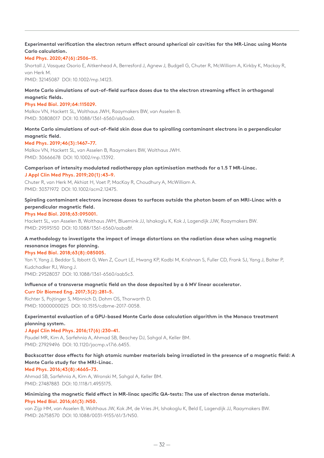# **Experimental verification the electron return effect around spherical air cavities for the MR-Linac using Monte Carlo calculation.**

## **Med Phys. 2020;47(6):2506–15.**

Shortall J, Vasquez Osorio E, Aitkenhead A, Berresford J, Agnew J, Budgell G, Chuter R, McWilliam A, Kirkby K, Mackay R, van Herk M.

PMID: 32145087 DOI: 10.1002/mp.14123.

# **Monte Carlo simulations of out-of-field surface doses due to the electron streaming effect in orthogonal magnetic fields.**

## **Phys Med Biol. 2019;64:115029.**

Malkov VN, Hackett SL, Wolthaus JWH, Raaymakers BW, van Asselen B. PMID: 30808017 DOI: 10.1088/1361-6560/ab0aa0.

# **Monte Carlo simulations of out-of-field skin dose due to spiralling contaminant electrons in a perpendicular magnetic field.**

## **Med Phys. 2019;46(3):1467–77.**

Malkov VN, Hackett SL, van Asselen B, Raaymakers BW, Wolthaus JWH. PMID: 30666678 DOI: 10.1002/mp.13392.

## **Comparison of intensity modulated radiotherapy plan optimisation methods for a 1.5 T MR-Linac. J Appl Clin Med Phys. 2019;20(1):43–9.**

Chuter R, van Herk M, Akhiat H, Voet P, MacKay R, Choudhury A, McWilliam A. PMID: 30371972 DOI: 10.1002/acm2.12475.

# **Spiraling contaminant electrons increase doses to surfaces outside the photon beam of an MRI-Linac with a perpendicular magnetic field.**

## **Phys Med Biol. 2018;63:095001.**

Hackett SL, van Asselen B, Wolthaus JWH, Bluemink JJ, Ishakoglu K, Kok J, Lagendijk JJW, Raaymakers BW. PMID: 29595150 DOI: 10.1088/1361-6560/aaba8f.

# **A methodology to investigate the impact of image distortions on the radiation dose when using magnetic resonance images for planning.**

## **Phys Med Biol. 2018;63(8):085005.**

Yan Y, Yang J, Beddar S, Ibbott G, Wen Z, Court LE, Hwang KP, Kadbi M, Krishnan S, Fuller CD, Frank SJ, Yang J, Balter P, Kudchadker RJ, Wang J. PMID: 29528037 DOI: 10.1088/1361-6560/aab5c3.

# **Influence of a transverse magnetic field on the dose deposited by a 6 MV linear accelerator.**

## **Curr Dir Biomed Eng. 2017;3(2):281–5.**

Richter S, Pojtinger S, Mönnich D, Dohm OS, Thorwarth D. PMID: 10000000025 DOI: 10.1515/cdbme-2017-0058.

# **Experimental evaluation of a GPU-based Monte Carlo dose calculation algorithm in the Monaco treatment planning system.**

## **J Appl Clin Med Phys. 2016;17(6):230–41.**

Paudel MR, Kim A, Sarfehnia A, Ahmad SB, Beachey DJ, Sahgal A, Keller BM. PMID: 27929496 DOI: 10.1120/jacmp.v17i6.6455.

# **Backscatter dose effects for high atomic number materials being irradiated in the presence of a magnetic field: A Monte Carlo study for the MRI-Linac.**

## **Med Phys. 2016;43(8):4665–73.**

Ahmad SB, Sarfehnia A, Kim A, Wronski M, Sahgal A, Keller BM. PMID: 27487883 DOI: 10.1118/1.4955175.

# **Minimizing the magnetic field effect in MR-linac specific QA-tests: The use of electron dense materials. Phys Med Biol. 2016;61(3):N50.**

van Zijp HM, van Asselen B, Wolthaus JW, Kok JM, de Vries JH, Ishakoglu K, Beld E, Lagendijk JJ, Raaymakers BW. PMID: 26758570 DOI: 10.1088/0031-9155/61/3/N50.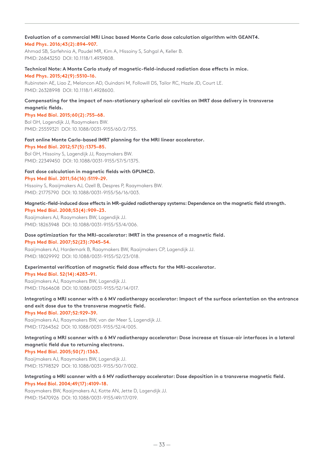# **Evaluation of a commercial MRI Linac based Monte Carlo dose calculation algorithm with GEANT4.**

# **Med Phys. 2016;43(2):894–907.**

Ahmad SB, Sarfehnia A, Paudel MR, Kim A, Hissoiny S, Sahgal A, Keller B. PMID: 26843250 DOI: 10.1118/1.4939808.

# **Technical Note: A Monte Carlo study of magnetic-field-induced radiation dose effects in mice.**

### **Med Phys. 2015;42(9):5510–16.**

Rubinstein AE, Liao Z, Melancon AD, Guindani M, Followill DS, Tailor RC, Hazle JD, Court LE. PMID: 26328998 DOI: 10.1118/1.4928600.

# **Compensating for the impact of non-stationary spherical air cavities on IMRT dose delivery in transverse magnetic fields.**

**Phys Med Biol. 2015;60(2):755–68.** Bol GH, Lagendijk JJ, Raaymakers BW. PMID: 25559321 DOI: 10.1088/0031-9155/60/2/755.

# **Fast online Monte Carlo-based IMRT planning for the MRI linear accelerator.**

**Phys Med Biol. 2012;57(5):1375–85.** Bol GH, Hissoiny S, Lagendijk JJ, Raaymakers BW.

PMID: 22349450 DOI: 10.1088/0031-9155/57/5/1375.

## **Fast dose calculation in magnetic fields with GPUMCD.**

**Phys Med Biol. 2011;56(16):5119–29.** Hissoiny S, Raaijmakers AJ, Ozell B, Despres P, Raaymakers BW. PMID: 21775790 DOI: 10.1088/0031-9155/56/16/003.

# **Magnetic-field-induced dose effects in MR-guided radiotherapy systems: Dependence on the magnetic field strength. Phys Med Biol. 2008;53(4):909–23.**

Raaijmakers AJ, Raaymakers BW, Lagendijk JJ. PMID: 18263948 DOI: 10.1088/0031-9155/53/4/006.

# **Dose optimization for the MRI-accelerator: IMRT in the presence of a magnetic field.**

**Phys Med Biol. 2007;52(23):7045–54.**

Raaijmakers AJ, Hardemark B, Raaymakers BW, Raaijmakers CP, Lagendijk JJ. PMID: 18029992 DOI: 10.1088/0031-9155/52/23/018.

# **Experimental verification of magnetic field dose effects for the MRI-accelerator.**

## **Phys Med Biol. 52(14):4283–91.**

Raaijmakers AJ, Raaymakers BW, Lagendijk JJ. PMID: 17664608 DOI: 10.1088/0031-9155/52/14/017.

# **Integrating a MRI scanner with a 6 MV radiotherapy accelerator: Impact of the surface orientation on the entrance and exit dose due to the transverse magnetic field.**

## **Phys Med Biol. 2007;52:929–39.**

Raaijmakers AJ, Raaymakers BW, van der Meer S, Lagendijk JJ. PMID: 17264362 DOI: 10.1088/0031-9155/52/4/005.

**Integrating a MRI scanner with a 6 MV radiotherapy accelerator: Dose increase at tissue-air interfaces in a lateral magnetic field due to returning electrons.**

# **Phys Med Biol. 2005;50(7):1363.**

Raaijmakers AJ, Raaymakers BW, Lagendijk JJ. PMID: 15798329 DOI: 10.1088/0031-9155/50/7/002.

**Integrating a MRI scanner with a 6 MV radiotherapy accelerator: Dose deposition in a transverse magnetic field. Phys Med Biol. 2004;49(17):4109–18.**

Raaymakers BW, Raaijmakers AJ, Kotte AN, Jette D, Lagendijk JJ. PMID: 15470926 DOI: 10.1088/0031-9155/49/17/019.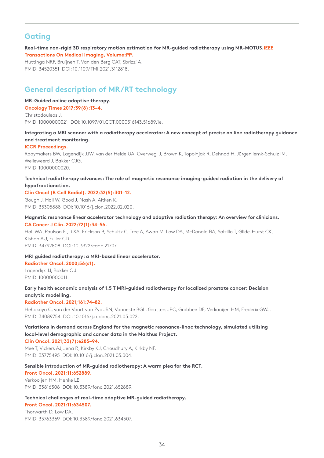# **Gating**

**Real-time non-rigid 3D respiratory motion estimation for MR-guided radiotherapy using MR-MOTUS.IEEE Transactions On Medical Imaging, Volume:PP.**

Huttinga NRF, Bruijnen T, Van den Berg CAT, Sbrizzi A. PMID: 34520351 DOI: 10.1109/TMI.2021.3112818.

# **General description of MR/RT technology**

#### **MR-Guided online adaptive therapy.**

**Oncology Times 2017;39(8):13–4.** Christodouleas J. PMID: 10000000021 DOI: 10.1097/01.COT.0000516143.51689.1e.

# **Integrating a MRI scanner with a radiotherapy accelerator: A new concept of precise on line radiotherapy guidance and treatment monitoring.**

## **ICCR Proceedings.**

Raaymakers BW, Lagendijk JJW, van der Heide UA, Overweg J, Brown K, Topolnjak R, Dehnad H, Jürgenliemk-Schulz IM, Welleweerd J, Bakker CJG. PMID: 10000000020.

# **Technical radiotherapy advances: The role of magnetic resonance imaging-guided radiation in the delivery of hypofractionation.**

# **Clin Oncol (R Coll Radiol). 2022;32(5):301–12.**

Gough J, Hall W, Good J, Nash A, Aitken K. PMID: 35305888 DOI: 10.1016/j.clon.2022.02.020.

## **Magnetic resonance linear accelerator technology and adaptive radiation therapy: An overview for clinicians. CA Cancer J Clin. 2022;72(1):34–56.**

Hall WA ,Paulson E ,Li XA, Erickson B, Schultz C, Tree A, Awan M, Low DA, McDonald BA, Salzillo T, Glide-Hurst CK, Kishan AU, Fuller CD.

PMID: 34792808 DOI: 10.3322/caac.21707.

# **MRI guided radiotherapy: a MRI-based linear accelerator.**

**Radiother Oncol. 2000;56(s1).**

Lagendijk JJ, Bakker C J. PMID: 10000000011.

# **Early health economic analysis of 1.5 T MRI-guided radiotherapy for localized prostate cancer: Decision analytic modelling.**

## **Radiother Oncol. 2021;161:74–82.**

Hehakaya C, van der Voort van Zyp JRN, Vanneste BGL, Grutters JPC, Grobbee DE, Verkooijen HM, Frederix GWJ. PMID: 34089754 DOI: 10.1016/j.radonc.2021.05.022.

# **Variations in demand across England for the magnetic resonance-linac technology, simulated utilising local-level demographic and cancer data in the Malthus Project.**

**Clin Oncol. 2021;33(7):e285–94.**

Mee T, Vickers AJ, Jena R, Kirkby KJ, Choudhury A, Kirkby NF. PMID: 33775495 DOI: 10.1016/j.clon.2021.03.004.

# **Sensible introduction of MR-guided radiotherapy: A warm plea for the RCT.**

# **Front Oncol. 2021;11:652889.** Verkooijen HM, Henke LE. PMID: 33816308 DOI: 10.3389/fonc.2021.652889.

# **Technical challenges of real-time adaptive MR-guided radiotherapy.**

**Front Oncol. 2021;11:634507.**

Thorwarth D, Low DA. PMID: 33763369 DOI: 10.3389/fonc.2021.634507.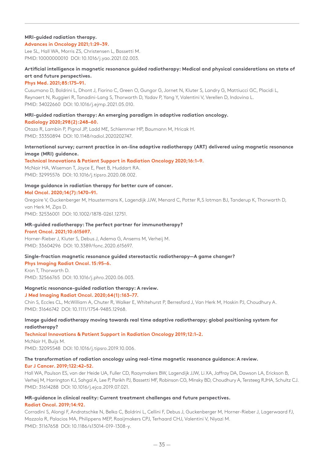## **MRI-guided radiation therapy.**

## **Advances in Oncology 2021;1:29–39.**

Lee SL, Hall WA, Morris ZS, Christensen L, Bassetti M. PMID: 10000000010 DOI: 10.1016/j.yao.2021.02.003.

# **Artificial intelligence in magnetic resonance guided radiotherapy: Medical and physical considerations on state of art and future perspectives.**

## **Phys Med. 2021;85:175–91.**

Cusumano D, Boldrini L, Dhont J, Fiorino C, Green O, Gungor G, Jornet N, Kluter S, Landry G, Mattiucci GC, Placidi L, Reynaert N, Ruggieri R, Tanadini-Lang S, Thorwarth D, Yadav P, Yang Y, Valentini V, Verellen D, Indovina L. PMID: 34022660 DOI: 10.1016/j.ejmp.2021.05.010.

# **MRI-guided radiation therapy: An emerging paradigm in adaptive radiation oncology.**

## **Radiology 2020;298(2):248–60.**

Otazo R, Lambin P, Pignol JP, Ladd ME, Schlemmer HP, Baumann M, Hricak H. PMID: 33350894 DOI: 10.1148/radiol.2020202747.

# **International survey; current practice in on-line adaptive radiotherapy (ART) delivered using magnetic resonance image (MRI) guidance.**

# **Technical Innovations & Patient Support in Radiation Oncology 2020;16:1–9.**

McNair HA, Wiseman T, Joyce E, Peet B, Huddart RA. PMID: 32995576 DOI: 10.1016/j.tipsro.2020.08.002.

# **Image guidance in radiation therapy for better cure of cancer.**

## **Mol Oncol. 2020;14(7):1470–91.**

Gregoire V, Guckenberger M, Haustermans K, Lagendijk JJW, Menard C, Potter R,S lotman BJ, Tanderup K, Thorwarth D, van Herk M, Zips D.

PMID: 32536001 DOI: 10.1002/1878-0261.12751.

### **MR-guided radiotherapy: The perfect partner for immunotherapy? Front Oncol. 2021;10:615697.**

Horner-Rieber J, Kluter S, Debus J, Adema G, Ansems M, Verheij M. PMID: 33604296 DOI: 10.3389/fonc.2020.615697.

# **Single-fraction magnetic resonance guided stereotactic radiotherapy—A game changer?**

**Phys Imaging Radiat Oncol. 15:95–6.** Kron T, Thorwarth D. PMID: 32566765 DOI: 10.1016/j.phro.2020.06.003.

# **Magnetic resonance-guided radiation therapy: A review.**

## **J Med Imaging Radiat Oncol. 2020;64(1):163–77.**

Chin S, Eccles CL, McWilliam A, Chuter R, Walker E, Whitehurst P, Berresford J, Van Herk M, Hoskin PJ, Choudhury A. PMID: 31646742 DOI: 10.1111/1754-9485.12968.

# **Image guided radiotherapy moving towards real time adaptive radiotherapy; global positioning system for radiotherapy?**

## **Technical Innovations & Patient Support in Radiation Oncology 2019;12:1–2.**

McNair H, Buijs M. PMID: 32095548 DOI: 10.1016/j.tipsro.2019.10.006.

# **The transformation of radiation oncology using real-time magnetic resonance guidance: A review.**

# **Eur J Cancer. 2019;122:42–52.**

Hall WA, Paulson ES, van der Heide UA, Fuller CD, Raaymakers BW, Lagendijk JJW, Li XA, Jaffray DA, Dawson LA, Erickson B, Verheij M, Harrington KJ, Sahgal A, Lee P, Parikh PJ, Bassetti MF, Robinson CG, Minsky BD, Choudhury A, Tersteeg RJHA, Schultz CJ. PMID: 31614288 DOI: 10.1016/j.ejca.2019.07.021.

# **MR-guidance in clinical reality: Current treatment challenges and future perspectives. Radiat Oncol. 2019;14:92.**

Corradini S, Alongi F, Andratschke N, Belka C, Boldrini L, Cellini F, Debus J, Guckenberger M, Horner-Rieber J, Lagerwaard FJ, Mazzola R, Palacios MA, Philippens MEP, Raaijmakers CPJ, Terhaard CHJ, Valentini V, Niyazi M. PMID: 31167658 DOI: 10.1186/s13014-019-1308-y.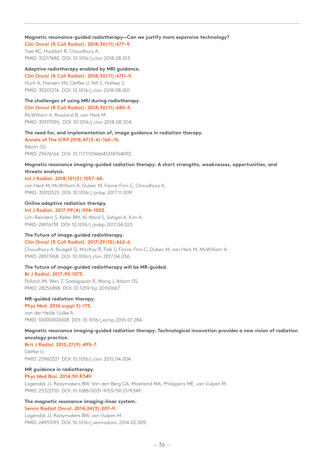## **Magnetic resonance-guided radiotherapy—Can we justify more expensive technology?**

**Clin Oncol (R Coll Radiol). 2018;30(11):677–9.** Tree AC, Huddart R, Choudhury A. PMID: 30217480 DOI: 10.1016/j.clon.2018.08.013.

## **Adaptive radiotherapy enabled by MRI guidance.**

**Clin Oncol (R Coll Radiol). 2018;30(11):6711–9.** Hunt A, Hansen VN, Oelfke U, Nill S, Hafeez S. PMID: 30201276 DOI: 10.1016/j.clon.2018.08.001.

## **The challenges of using MRI during radiotherapy.**

**Clin Oncol (R Coll Radiol). 2018;30(11):680–5.** McWilliam A, Rowland B, van Herk M. PMID: 30197096 DOI: 10.1016/j.clon.2018.08.004.

### **The need for, and implementation of, image guidance in radiation therapy.**

**Annals of The ICRP 2018;47(3-4):160–76.** Ibbott GS. PMID: 29676166 DOI: 10.1177/0146645318764092.

## **Magnetic resonance imaging-guided radiation therapy: A short strengths, weaknesses, opportunities, and threats analysis.**

### **Int J Radiat. 2018;101(5):1057–60.**

van Herk M, McWilliam A, Dubec M, Faivre-Finn C, Choudhury A. PMID: 30012525 DOI: 10.1016/j.ijrobp.2017.11.009.

# **Online adaptive radiation therapy.**

**Int J Radiat. 2017;99(4):994–1003.**

Lim-Reinders S, Keller BM, Al-Ward S, Sahgal A, Kim A. PMID: 28916139 DOI: 10.1016/j.ijrobp.2017.04.023.

## **The Future of image-guided radiotherapy. Clin Oncol (R Coll Radiol). 2017;29(10):662–6.**

Choudhury A, Budgell G, MacKay R, Falk S, Faivre-Finn C, Dubec M, van Herk M, McWilliam A. PMID: 28511968 DOI: 10.1016/j.clon.2017.04.036.

## **The future of image-guided radiotherapy will be MR-guided.**

# **Br J Radiol. 2017;90:1073.**

Pollard JM, Wen Z, Sadagopan R, Wang J, Ibbott GS. PMID: 28256898 DOI: 10.1259/bjr.20160667.

## **MR-guided radiation therapy.**

**Phys Med. 2016;suppl 3):175.**

van der Heide Uulke A. PMID: 10000000008 DOI: 10.1016/j.ejmp.2016.07.284.

**Magnetic resonance imaging-guided radiation therapy: Technological innovation provides a new vision of radiation oncology practice.**

# **Brit J Radiol. 2015;27(9):495–7.**

Oelfke U. PMID: 25960321 DOI: 10.1016/j.clon.2015.04.004.

## **MR guidance in radiotherapy.**

## **Phys Med Biol. 2014;59:R349.**

Lagendijk JJ, Raaymakers BW, Van den Berg CA, Moerland MA, Philippens ME, van Vulpen M. PMID: 25322150 DOI: 10.1088/0031-9155/59/21/R349.

# **The magnetic resonance imaging-linac system.**

#### **Semin Radiat Oncol. 2014;24(3):207–9.**

Lagendijk JJ, Raaymakers BW, van Vulpen M. PMID: 24931095 DOI: 10.1016/j.semradonc.2014.02.009.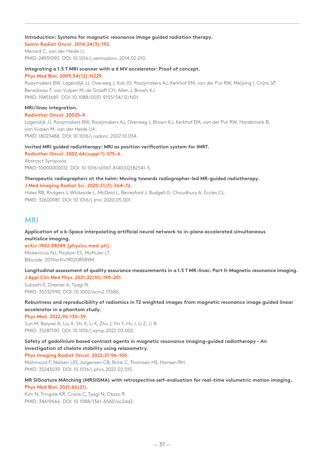## **Introduction: Systems for magnetic resonance image guided radiation therapy.**

**Semin Radiat Oncol. 2014;24(3):192.** Menard C, van der Heide U. PMID: 24931090 DOI: 10.1016/j.semradonc.2014.02.010.

## **Integrating a 1.5 T MRI scanner with a 6 MV accelerator: Proof of concept.**

**Phys Med Biol. 2009;54(12):N229.**

Raaymakers BW, Lagendijk JJ, Overweg J, Kok JG, Raaijmakers AJ, Kerkhof EM, van der Put RW, Meijsing I, Crijns SP, Benedosso F, van Vulpen M, de Graaff CH, Allen J, Brown KJ. PMID: 19451689 DOI: 10.1088/0031-9155/54/12/N01.

### **MRI/linac integration.**

**Radiother Oncol. 20025–9.**

Lagendijk JJ, Raaymakers BW, Raaijmakers AJ, Overweg J, Brown KJ, Kerkhof EM, van der Put RW, Hardemark B, van Vulpen M, van der Heide UA. PMID: 18023488 DOI: 10.1016/j.radonc.2007.10.034.

### **Invited MRI guided radiotherapy: MRI as position verification system for IMRT. Radiother Oncol. 2002;64(suppl 1):S75–6.**

Abstract Symposia. PMID: 10000000012 DOI: 10.1016/s0167-8140(02)82541-5.

# **Therapeutic radiographers at the helm: Moving towards radiographer-led MR-guided radiotherapy. J Med Imaging Radiat Sci. 2020;51(3):364–72.**

Hales RB, Rodgers J, Whiteside L, McDaid L, Berresford J, Budgell G, Choudhury A, Eccles CL. PMID: 32600981 DOI: 10.1016/j.jmir.2020.05.001.

# **MRI**

**Application of a k-Space interpolating artificial neural network to in-plane accelerated simultaneous multislice imaging.**

**arXiv:1902.08589 [physics.med-ph].** Mickevicius NJ, Paulson ES, Muftuler LT. Bibcode: 2019arXiv190208589M.

**Longitudinal assessment of quality assurance measurements in a 1.5 T MR-linac: Part II-Magnetic resonance imaging. J Appl Clin Med Phys. 2021;22(10):190–201.**

Subashi E, Dresner A, Tyagi N. PMID: 35332990 DOI: 10.1002/acm2.13586.

**Robustness and reproducibility of radiomics in T2 weighted images from magnetic resonance image guided linear accelerator in a phantom study.**

**Phys Med. 2022;96:130–39.**

Sun M, Baiyasi A, Liu X, Shi X, Li X, Zhu J, Yin Y, Hu J, Li Z, Li B. PMID: 35287100 DOI: 10.1016/j.ejmp.2022.03.002.

# **Safety of gadolinium based contrast agents in magnetic resonance imaging-guided radiotherapy - An investigation of chelate stability using relaxometry.**

**Phys Imaging Radiat Oncol. 2022;21:96–100.**

Mahmood F, Nielsen UG, Jorgensen CB, Brink C, Thomsen HS, Hansen RH. PMID: 35243039 DOI: 10.1016/j.phro.2022.02.015.

### **MR SIGnature MAtching (MRSIGMA) with retrospective self-evaluation for real-time volumetric motion imaging. Phys Med Biol. 2021;66(21).**

Kim N, Tringale KR, Crane C, Tyagi N, Otazo R. PMID: 34619666 DOI: 10.1088/1361-6560/ac2dd2.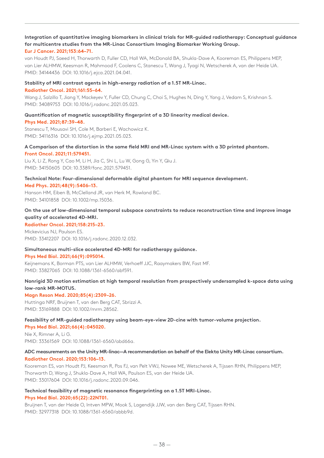# **Integration of quantitative imaging biomarkers in clinical trials for MR-guided radiotherapy: Conceptual guidance for multicentre studies from the MR-Linac Consortium Imaging Biomarker Working Group. Eur J Cancer. 2021;153:64–71.**

van Houdt PJ, Saeed H, Thorwarth D, Fuller CD, Hall WA, McDonald BA, Shukla-Dave A, Kooreman ES, Philippens MEP, van Lier ALHMW, Keesman R, Mahmood F, Coolens C, Stanescu T, Wang J, Tyagi N, Wetscherek A, van der Heide UA. PMID: 34144436 DOI: 10.1016/j.ejca.2021.04.041.

# **Stability of MRI contrast agents in high-energy radiation of a 1.5T MR-Linac. Radiother Oncol. 2021;161:55–64.**

Wang J, Salzillo T, Jiang Y, Mackeyev Y, Fuller CD, Chung C, Choi S, Hughes N, Ding Y, Yang J, Vedam S, Krishnan S. PMID: 34089753 DOI: 10.1016/j.radonc.2021.05.023.

## **Quantification of magnetic susceptibility fingerprint of a 3D linearity medical device. Phys Med. 2021;87:39–48.**

Stanescu T, Mousavi SH, Cole M, Barberi E, Wachowicz K. PMID: 34116316 DOI: 10.1016/j.ejmp.2021.05.023.

# **A Comparison of the distortion in the same field MRI and MR-Linac system with a 3D printed phantom. Front Oncol. 2021;11:579451.**

Liu X, Li Z, Rong Y, Cao M, Li H, Jia C, Shi L, Lu W, Gong G, Yin Y, Qiu J. PMID: 34150605 DOI: 10.3389/fonc.2021.579451.

## **Technical Note: Four-dimensional deformable digital phantom for MRI sequence development. Med Phys. 2021;48(9):5406–13.**

Hanson HM, Eiben B, McClelland JR, van Herk M, Rowland BC. PMID: 34101858 DOI: 10.1002/mp.15036.

# **On the use of low-dimensional temporal subspace constraints to reduce reconstruction time and improve image quality of accelerated 4D-MRI.**

## **Radiother Oncol. 2021;158:215–23.**

Mickevicius NJ, Paulson ES. PMID: 33412207 DOI: 10.1016/j.radonc.2020.12.032.

# **Simultaneous multi-slice accelerated 4D-MRI for radiotherapy guidance.**

## **Phys Med Biol. 2021;66(9):095014.**

Keijnemans K, Borman PTS, van Lier ALHMW, Verhoeff JJC, Raaymakers BW, Fast MF. PMID: 33827065 DOI: 10.1088/1361-6560/abf591.

# **Nonrigid 3D motion estimation at high temporal resolution from prospectively undersampled k-space data using low-rank MR-MOTUS.**

## **Magn Reson Med. 2020;85(4):2309–26.**

Huttinga NRF, Bruijnen T, van den Berg CAT, Sbrizzi A. PMID: 33169888 DOI: 10.1002/mrm.28562.

# **Feasibility of MR-guided radiotherapy using beam-eye-view 2D-cine with tumor-volume projection. Phys Med Biol. 2021;66(4):045020.**

Nie X, Rimner A, Li G. PMID: 33361569 DOI: 10.1088/1361-6560/abd66a.

# **ADC measurements on the Unity MR-linac—A recommendation on behalf of the Elekta Unity MR-Linac consortium. Radiother Oncol. 2020;153:106–13.**

Kooreman ES, van Houdt PJ, Keesman R, Pos FJ, van Pelt VWJ, Nowee ME, Wetscherek A, Tijssen RHN, Philippens MEP, Thorwarth D, Wang J, Shukla-Dave A, Hall WA, Paulson ES, van der Heide UA. PMID: 33017604 DOI: 10.1016/j.radonc.2020.09.046.

# **Technical feasibility of magnetic resonance fingerprinting on a 1.5T MRI-Linac.**

## **Phys Med Biol. 2020;65(22):22NT01.**

Bruijnen T, van der Heide O, Intven MPW, Mook S, Lagendijk JJW, van den Berg CAT, Tijssen RHN. PMID: 32977318 DOI: 10.1088/1361-6560/abbb9d.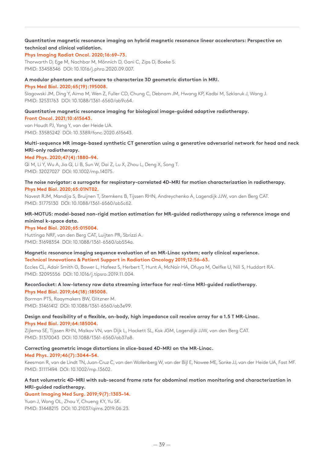# **Quantitative magnetic resonance imaging on hybrid magnetic resonance linear accelerators: Perspective on technical and clinical validation.**

### **Phys Imaging Radiat Oncol. 2020;16:69–73.**

Thorwarth D, Ege M, Nachbar M, Mönnich D, Gani C, Zips D, Boeke S. PMID: 33458346 DOI: 10.1016/j.phro.2020.09.007.

## **A modular phantom and software to characterize 3D geometric distortion in MRI.**

#### **Phys Med Biol. 2020;65(19):195008.**

Slagowski JM, Ding Y, Aima M, Wen Z, Fuller CD, Chung C, Debnam JM, Hwang KP, Kadbi M, Szklaruk J, Wang J. PMID: 32531763 DOI: 10.1088/1361-6560/ab9c64.

# **Quantitative magnetic resonance imaging for biological image-guided adaptive radiotherapy.**

#### **Front Oncol. 2021;10:615643.**

van Houdt PJ, Yang Y, van der Heide UA. PMID: 33585242 DOI: 10.3389/fonc.2020.615643.

# **Multi-sequence MR image-based synthetic CT generation using a generative adversarial network for head and neck MRI-only radiotherapy.**

## **Med Phys. 2020;47(4):1880–94.**

Qi M, Li Y, Wu A, Jia Q, Li B, Sun W, Dai Z, Lu X, Zhou L, Deng X, Song T. PMID: 32027027 DOI: 10.1002/mp.14075.

### **The noise navigator: a surrogate for respiratory-correlated 4D-MRI for motion characterization in radiotherapy. Phys Med Biol. 2020;65:01NT02.**

Navest RJM, Mandija S, Bruijnen T, Stemkens B, Tijssen RHN, Andreychenko A, Lagendijk JJW, van den Berg CAT. PMID: 31775130 DOI: 10.1088/1361-6560/ab5c62.

# **MR-MOTUS: model-based non-rigid motion estimation for MR-guided radiotherapy using a reference image and minimal k-space data.**

### **Phys Med Biol. 2020;65:015004.**

Huttinga NRF, van den Berg CAT, Luijten PR, Sbrizzi A. PMID: 31698354 DOI: 10.1088/1361-6560/ab554a.

# **Magnetic resonance imaging sequence evaluation of an MR-Linac system; early clinical experience. Technical Innovations & Patient Support in Radiation Oncology 2019;12:56–63.**

Eccles CL, Adair Smith G, Bower L, Hafeez S, Herbert T, Hunt A, McNair HA, Ofuya M, Oelfke U, Nill S, Huddart RA. PMID: 32095556 DOI: 10.1016/j.tipsro.2019.11.004.

# **ReconSocket: A low-latency raw data streaming interface for real-time MRI-guided radiotherapy.**

**Phys Med Biol. 2019;64(18):185008.** Borman PTS, Raaymakers BW, Glitzner M. PMID: 31461412 DOI: 10.1088/1361-6560/ab3e99.

# **Design and feasibility of a flexible, on-body, high impedance coil receive array for a 1.5 T MR-Linac. Phys Med Biol. 2019;64:185004.**

Zijlema SE, Tijssen RHN, Malkov VN, van Dijk L, Hackett SL, Kok JGM, Lagendijk JJW, van den Berg CAT. PMID: 31370043 DOI: 10.1088/1361-6560/ab37a8.

# **Correcting geometric image distortions in slice-based 4D-MRI on the MR-Linac.**

## **Med Phys. 2019;46(7):3044–54.**

Keesman R, van de Lindt TN, Juan-Cruz C, van den Wollenberg W, van der Bijl E, Nowee ME, Sonke JJ, van der Heide UA, Fast MF. PMID: 31111494 DOI: 10.1002/mp.13602.

# **A fast volumetric 4D-MRI with sub-second frame rate for abdominal motion monitoring and characterization in MRI-guided radiotherapy.**

# **Quant Imaging Med Surg. 2019;9(7):1303–14.**

Yuan J, Wong OL, Zhou Y, Chueng KY, Yu SK. PMID: 31448215 DOI: 10.21037/qims.2019.06.23.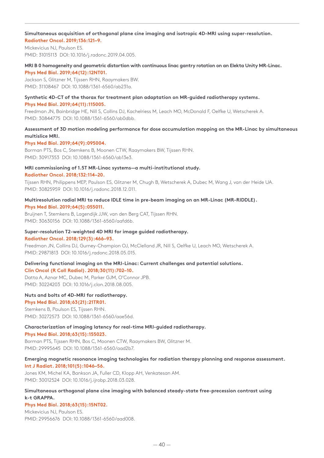### **Simultaneous acquisition of orthogonal plane cine imaging and isotropic 4D-MRI using super-resolution. Radiother Oncol. 2019;136:121–9.**

Mickevicius NJ, Paulson ES. PMID: 31015113 DOI: 10.1016/j.radonc.2019.04.005.

## **MRI B 0 homogeneity and geometric distortion with continuous linac gantry rotation on an Elekta Unity MR-Linac. Phys Med Biol. 2019;64(12):12NT01.**

Jackson S, Glitzner M, Tijssen RHN, Raaymakers BW. PMID: 31108467 DOI: 10.1088/1361-6560/ab231a.

# **Synthetic 4D-CT of the thorax for treatment plan adaptation on MR-guided radiotherapy systems. Phys Med Biol. 2019;64(11):115005.**

Freedman JN, Bainbridge HE, Nill S, Collins DJ, Kachelriess M, Leach MO, McDonald F, Oelfke U, Wetscherek A. PMID: 30844775 DOI: 10.1088/1361-6560/ab0dbb.

# **Assessment of 3D motion modeling performance for dose accumulation mapping on the MR-Linac by simultaneous multislice MRI.**

# **Phys Med Biol. 2019;64(9):095004.**

Borman PTS, Bos C, Stemkens B, Moonen CTW, Raaymakers BW, Tijssen RHN. PMID: 30917353 DOI: 10.1088/1361-6560/ab13e3.

## **MRI commissioning of 1.5T MR-Linac systems—a multi-institutional study. Radiother Oncol. 2018;132:114–20.**

Tijssen RHN, Philippens MEP, Paulson ES, Glitzner M, Chugh B, Wetscherek A, Dubec M, Wang J, van der Heide UA. PMID: 30825959 DOI: 10.1016/j.radonc.2018.12.011.

# **Multiresolution radial MRI to reduce IDLE time in pre-beam imaging on an MR-Linac (MR-RIDDLE). Phys Med Biol. 2019;64(5):055011.**

Bruijnen T, Stemkens B, Lagendijk JJW, van den Berg CAT, Tijssen RHN. PMID: 30630156 DOI: 10.1088/1361-6560/aafd6b.

## **Super-resolution T2-weighted 4D MRI for image guided radiotherapy.**

## **Radiother Oncol. 2018;129(3):466–93.**

Freedman JN, Collins DJ, Gurney-Champion OJ, McClelland JR, Nill S, Oelfke U, Leach MO, Wetscherek A. PMID: 29871813 DOI: 10.1016/j.radonc.2018.05.015.

# **Delivering functional imaging on the MRI-Linac: Current challenges and potential solutions.**

## **Clin Oncol (R Coll Radiol). 2018;30(11):702–10.**

Datta A, Aznar MC, Dubec M, Parker GJM, O'Connor JPB. PMID: 30224203 DOI: 10.1016/j.clon.2018.08.005.

# **Nuts and bolts of 4D-MRI for radiotherapy.**

## **Phys Med Biol. 2018;63(21):21TR01.**

Stemkens B, Paulson ES, Tijssen RHN. PMID: 30272573 DOI: 10.1088/1361-6560/aae56d.

# **Characterization of imaging latency for real-time MRI-guided radiotherapy.**

## **Phys Med Biol. 2018;63(15):155023.**

Borman PTS, Tijssen RHN, Bos C, Moonen CTW, Raaymakers BW, Glitzner M. PMID: 29995645 DOI: 10.1088/1361-6560/aad2b7.

# **Emerging magnetic resonance imaging technologies for radiation therapy planning and response assessment. Int J Radiat. 2018;101(5):1046–56.**

Jones KM, Michel KA, Bankson JA, Fuller CD, Klopp AH, Venkatesan AM. PMID: 30012524 DOI: 10.1016/j.ijrobp.2018.03.028.

## **Simultaneous orthogonal plane cine imaging with balanced steady-state free-precession contrast using k-t GRAPPA.**

## **Phys Med Biol. 2018;63(15):15NT02.**

Mickevicius NJ, Paulson ES. PMID: 29956676 DOI: 10.1088/1361-6560/aad008.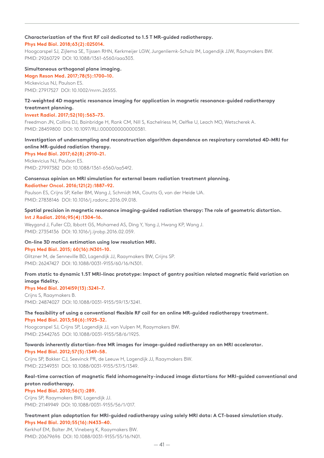## **Characterization of the first RF coil dedicated to 1.5 T MR-guided radiotherapy.**

# **Phys Med Biol. 2018;63(2):025014.**

Hoogcarspel SJ, Zijlema SE, Tijssen RHN, Kerkmeijer LGW, Jurgenliemk-Schulz IM, Lagendijk JJW, Raaymakers BW. PMID: 29260729 DOI: 10.1088/1361-6560/aaa303.

### **Simultaneous orthogonal plane imaging.**

**Magn Reson Med. 2017;78(5):1700–10.** Mickevicius NJ, Paulson ES. PMID: 27917527 DOI: 10.1002/mrm.26555.

# **T2-weighted 4D magnetic resonance imaging for application in magnetic resonance-guided radiotherapy treatment planning.**

## **Invest Radiol. 2017;52(10):563–73.**

Freedman JN, Collins DJ, Bainbridge H, Rank CM, Nill S, Kachelriess M, Oelfke U, Leach MO, Wetscherek A. PMID: 28459800 DOI: 10.1097/RLI.0000000000000381.

# **Investigation of undersampling and reconstruction algorithm dependence on respiratory correlated 4D-MRI for online MR-guided radiation therapy.**

**Phys Med Biol. 2017;62(8):2910–21.**

Mickevicius NJ, Paulson ES. PMID: 27997382 DOI: 10.1088/1361-6560/aa54f2.

## **Consensus opinion on MRI simulation for external beam radiation treatment planning. Radiother Oncol. 2016;121(2):1887–92.**

Paulson ES, Crijns SP, Keller BM, Wang J, Schmidt MA, Coutts G, van der Heide UA. PMID: 27838146 DOI: 10.1016/j.radonc.2016.09.018.

## **Spatial precision in magnetic resonance imaging-guided radiation therapy: The role of geometric distortion. Int J Radiat. 2016;95(4):1304–16.**

Weygand J, Fuller CD, Ibbott GS, Mohamed AS, Ding Y, Yang J, Hwang KP, Wang J. PMID: 27354136 DOI: 10.1016/j.ijrobp.2016.02.059.

# **On-line 3D motion estimation using low resolution MRI.**

## **Phys Med Biol. 2015; 60(16):N301–10.**

Glitzner M, de Senneville BD, Lagendijk JJ, Raaymakers BW, Crijns SP. PMID: 26247427 DOI: 10.1088/0031-9155/60/16/N301.

# **From static to dynamic 1.5T MRI-linac prototype: Impact of gantry position related magnetic field variation on image fidelity.**

# **Phys Med Biol. 2014l59(13):3241–7.**

Crijns S, Raaymakers B. PMID: 24874027 DOI: 10.1088/0031-9155/59/13/3241.

## **The feasibility of using a conventional flexible RF coil for an online MR-guided radiotherapy treatment. Phys Med Biol. 2013;58(6):1925–32.**

Hoogcarspel SJ, Crijns SP, Lagendijk JJ, van Vulpen M, Raaymakers BW. PMID: 23442765 DOI: 10.1088/0031-9155/58/6/1925.

# **Towards inherently distortion-free MR images for image-guided radiotherapy on an MRI accelerator.**

## **Phys Med Biol. 2012;57(5):1349–58.**

Crijns SP, Bakker CJ, Seevinck PR, de Leeuw H, Lagendijk JJ, Raaymakers BW. PMID: 22349351 DOI: 10.1088/0031-9155/57/5/1349.

# **Real-time correction of magnetic field inhomogeneity-induced image distortions for MRI-guided conventional and proton radiotherapy.**

## **Phys Med Biol. 2010;56(1):289.**

Crijns SP, Raaymakers BW, Lagendijk JJ. PMID: 21149949 DOI: 10.1088/0031-9155/56/1/017.

# **Treatment plan adaptation for MRI-guided radiotherapy using solely MRI data: A CT-based simulation study. Phys Med Biol. 2010;55(16):N433–40.**

Kerkhof EM, Balter JM, Vineberg K, Raaymakers BW. PMID: 20679696 DOI: 10.1088/0031-9155/55/16/N01.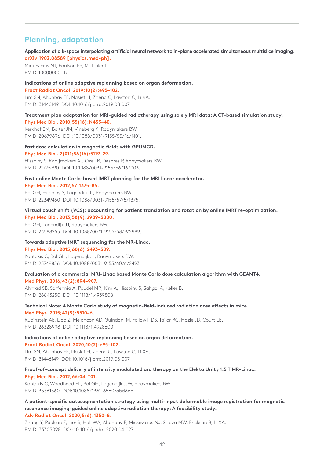# **Planning, adaptation**

## **Application of a k-space interpolating artificial neural network to in-plane accelerated simultaneous multislice imaging. arXiv:1902.08589 [physics.med-ph].**

Mickevicius NJ, Paulson ES, Muftuler LT. PMID: 10000000017.

# **Indications of online adaptive replanning based on organ deformation.**

### **Pract Radiat Oncol. 2019;10(2):e95–102.**

Lim SN, Ahunbay EE, Nasief H, Zheng C, Lawton C, Li XA. PMID: 31446149 DOI: 10.1016/j.prro.2019.08.007.

## **Treatment plan adaptation for MRI-guided radiotherapy using solely MRI data: A CT-based simulation study. Phys Med Biol. 2010;55(16):N433–40.**

Kerkhof EM, Balter JM, Vineberg K, Raaymakers BW. PMID: 20679696 DOI: 10.1088/0031-9155/55/16/N01.

# **Fast dose calculation in magnetic fields with GPUMCD.**

**Phys Med Biol. 2)011;56(16):5119–29.**

Hissoiny S, Raaijmakers AJ, Ozell B, Despres P, Raaymakers BW. PMID: 21775790 DOI: 10.1088/0031-9155/56/16/003.

## **Fast online Monte Carlo-based IMRT planning for the MRI linear accelerator. Phys Med Biol. 2012;57:1375–85.**

Bol GH, Hissoiny S, Lagendijk JJ, Raaymakers BW. PMID: 22349450 DOI: 10.1088/0031-9155/57/5/1375.

# **Virtual couch shift (VCS): accounting for patient translation and rotation by online IMRT re-optimization. Phys Med Biol. 2013;58(9):2989–3000.**

Bol GH, Lagendijk JJ, Raaymakers BW. PMID: 23588253 DOI: 10.1088/0031-9155/58/9/2989.

# **Towards adaptive IMRT sequencing for the MR-Linac.**

## **Phys Med Biol. 2015;60(6):2493–509.**

Kontaxis C, Bol GH, Lagendijk JJ, Raaymakers BW. PMID: 25749856 DOI: 10.1088/0031-9155/60/6/2493.

## **Evaluation of a commercial MRI-Linac based Monte Carlo dose calculation algorithm with GEANT4. Med Phys. 2016;43(2):894–907.**

Ahmad SB, Sarfehnia A, Paudel MR, Kim A, Hissoiny S, Sahgal A, Keller B. PMID: 26843250 DOI: 10.1118/1.4939808.

# **Technical Note: A Monte Carlo study of magnetic-field-induced radiation dose effects in mice.**

**Med Phys. 2015;42(9):5510–6.**

Rubinstein AE, Liao Z, Melancon AD, Guindani M, Followill DS, Tailor RC, Hazle JD, Court LE. PMID: 26328998 DOI: 10.1118/1.4928600.

# **Indications of online adaptive replanning based on organ deformation.**

# **Pract Radiat Oncol. 2020;10(2):e95–102.**

Lim SN, Ahunbay EE, Nasief H, Zheng C, Lawton C, Li XA. PMID: 31446149 DOI: 10.1016/j.prro.2019.08.007.

# **Proof-of-concept delivery of intensity modulated arc therapy on the Elekta Unity 1.5 T MR-Linac. Phys Med Biol. 2012;66:04LT01.**

Kontaxis C, Woodhead PL, Bol GH, Lagendijk JJW, Raaymakers BW. PMID: 33361560 DOI: 10.1088/1361-6560/abd66d.

# **A patient-specific autosegmentation strategy using multi-input deformable image registration for magnetic resonance imaging-guided online adaptive radiation therapy: A feasibility study. Adv Radiat Oncol. 2020;5(6):1350–8.**

Zhang Y, Paulson E, Lim S, Hall WA, Ahunbay E, Mickevicius NJ, Straza MW, Erickson B, Li XA. PMID: 33305098 DOI: 10.1016/j.adro.2020.04.027.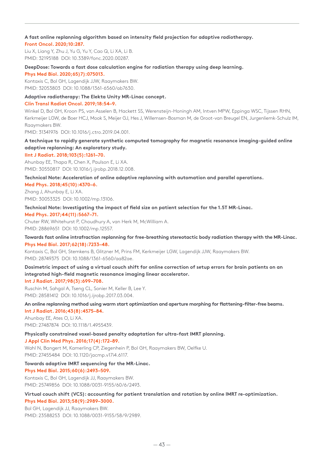# **A fast online replanning algorithm based on intensity field projection for adaptive radiotherapy.**

# **Front Oncol. 2020;10:287.**

Liu X, Liang Y, Zhu J, Yu G, Yu Y, Cao Q, Li XA, Li B. PMID: 32195188 DOI: 10.3389/fonc.2020.00287.

# **DeepDose: Towards a fast dose calculation engine for radiation therapy using deep learning.**

**Phys Med Biol. 2020;65)7):075013.** Kontaxis C, Bol GH, Lagendijk JJW, Raaymakers BW. PMID: 32053803 DOI: 10.1088/1361-6560/ab7630.

# **Adaptive radiotherapy: The Elekta Unity MR-Linac concept.**

### **Clin Transl Radiat Oncol. 2019;18:54–9.**

Winkel D, Bol GH, Kroon PS, van Asselen B, Hackett SS, Werensteijn-Honingh AM, Intven MPW, Eppinga WSC, Tijssen RHN, Kerkmeijer LGW, de Boer HCJ, Mook S, Meijer GJ, Hes J, Willemsen-Bosman M, de Groot-van Breugel EN, Jurgenliemk-Schulz IM, Raaymakers BW.

PMID: 31341976 DOI: 10.1016/j.ctro.2019.04.001.

# **A technique to rapidly generate synthetic computed tomography for magnetic resonance imaging-guided online adaptive replanning: An exploratory study.**

# **IInt J Radiat. 2018;103(5):1261–70.**

Ahunbay EE, Thapa R, Chen X, Paulson E, Li XA. PMID: 30550817 DOI: 10.1016/j.ijrobp.2018.12.008.

## **Technical Note: Acceleration of online adaptive replanning with automation and parallel operations. Med Phys. 2018;45(10):4370–6.**

Zhang J, Ahunbay E, Li XA. PMID: 30053325 DOI: 10.1002/mp.13106.

# **Technical Note: Investigating the impact of field size on patient selection for the 1.5T MR-Linac.**

**Med Phys. 2017;44(11):5667–71.**

Chuter RW, Whitehurst P, Choudhury A, van Herk M, McWilliam A. PMID: 28869651 DOI: 10.1002/mp.12557.

## **Towards fast online intrafraction replanning for free-breathing stereotactic body radiation therapy with the MR-Linac. Phys Med Biol. 2017;62(18):7233–48.**

Kontaxis C, Bol GH, Stemkens B, Glitzner M, Prins FM, Kerkmeijer LGW, Lagendijk JJW, Raaymakers BW. PMID: 28749375 DOI: 10.1088/1361-6560/aa82ae.

# **Dosimetric impact of using a virtual couch shift for online correction of setup errors for brain patients on an integrated high-field magnetic resonance imaging linear accelerator.**

**Int J Radiat. 2017;98(3):699–708.**

Ruschin M, Sahgal A, Tseng CL, Sonier M, Keller B, Lee Y. PMID: 28581412 DOI: 10.1016/j.ijrobp.2017.03.004.

## **An online replanning method using warm start optimization and aperture morphing for flattening-filter-free beams. Int J Radiat. 2016;43(8):4575–84.**

Ahunbay EE, Ates O, Li XA. PMID: 27487874 DOI: 10.1118/1.4955439.

# **Physically constrained voxel-based penalty adaptation for ultra-fast IMRT planning.**

**J Appl Clin Med Phys. 2016;17(4):172–89.**

Wahl N, Bangert M, Kamerling CP, Ziegenhein P, Bol GH, Raaymakers BW, Oelfke U. PMID: 27455484 DOI: 10.1120/jacmp.v17i4.6117.

# **Towards adaptive IMRT sequencing for the MR-Linac.**

**Phys Med Biol. 2015;60(6):2493–509.**

Kontaxis C, Bol GH, Lagendijk JJ, Raaymakers BW. PMID: 25749856 DOI: 10.1088/0031-9155/60/6/2493.

## **Virtual couch shift (VCS): accounting for patient translation and rotation by online IMRT re-optimization. Phys Med Biol. 2013;58(9):2989–3000.**

Bol GH, Lagendijk JJ, Raaymakers BW. PMID: 23588253 DOI: 10.1088/0031-9155/58/9/2989.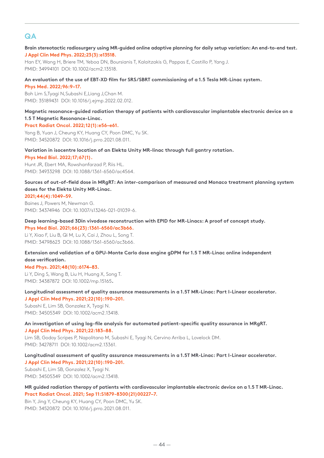# **QA**

# **Brain stereotactic radiosurgery using MR-guided online adaptive planning for daily setup variation: An end-to-end test. J Appl Clin Med Phys. 2022;23(3):e13518.**

Han EY, Wang H, Briere TM, Yeboa DN, Boursianis T, Kalaitzakis G, Pappas E, Castillo P, Yang J. PMID: 34994101 DOI: 10.1002/acm2.13518.

## **An evaluation of the use of EBT-XD film for SRS/SBRT commissioning of a 1.5 Tesla MR-Linac system.**

**Phys Med. 2022;96:9–17.**

Boh Lim S,Tyagi N,Subashi E,Liang J,Chan M. PMID: 35189431 DOI: 10.1016/j.ejmp.2022.02.012.

## **Magnetic resonance-guided radiation therapy of patients with cardiovascular implantable electronic device on a 1.5 T Magnetic Resonance-Linac.**

# **Pract Radiat Oncol. 2022;12(1):e56–e61.**

Yang B, Yuan J, Cheung KY, Huang CY, Poon DMC, Yu SK. PMID: 34520872 DOI: 10.1016/j.prro.2021.08.011.

# **Variation in isocentre location of an Elekta Unity MR-linac through full gantry rotation.**

## **Phys Med Biol. 2022;17;67(1).**

Hunt JR, Ebert MA, Rowshanfarzad P, Riis HL. PMID: 34933298 DOI: 10.1088/1361-6560/ac4564.

# **Sources of out-of-field dose in MRgRT: An inter-comparison of measured and Monaco treatment planning system doses for the Elekta Unity MR-Linac.**

## **2021;44(4):1049–59.**

Baines J, Powers M, Newman G. PMID: 34374946 DOI: 10.1007/s13246-021-01039-6.

# **Deep learning-based 3Din vivodose reconstruction with EPID for MR-Linacs: A proof of concept study.**

**Phys Med Biol. 2021;66(23):1361-6560/ac3b66.** Li Y, Xiao F, Liu B, Qi M, Lu X, Cai J, Zhou L, Song T. PMID: 34798623 DOI: 10.1088/1361-6560/ac3b66.

# **Extension and validation of a GPU-Monte Carlo dose engine gDPM for 1.5 T MR-Linac online independent dose verification.**

# **Med Phys. 2021;48(10):6174–83.**

Li Y, Ding S, Wang B, Liu H, Huang X, Song T. PMID: 34387872 DOI: 10.1002/mp.15165**.**

# **Longitudinal assessment of quality assurance measurements in a 1.5T MR-Linac: Part I-Linear accelerator. J Appl Clin Med Phys. 2021;22(10):190–201.**

Subashi E, Lim SB, Gonzalez X, Tyagi N. PMID: 34505349 DOI: 10.1002/acm2.13418.

## **An investigation of using log-file analysis for automated patient-specific quality assurance in MRgRT. J Appl Clin Med Phys. 2021;22:183–88.**

Lim SB, Godoy Scripes P, Napolitano M, Subashi E, Tyagi N, Cervino Arriba L, Lovelock DM. PMID: 34278711 DOI: 10.1002/acm2.13361.

**Longitudinal assessment of quality assurance measurements in a 1.5T MR-Linac: Part I-Linear accelerator. J Appl Clin Med Phys. 2021;22(10):190–201.**

Subashi E, Lim SB, Gonzalez X, Tyagi N. PMID: 34505349 DOI: 10.1002/acm2.13418.

# **MR guided radiation therapy of patients with cardiovascular implantable electronic device on a 1.5 T MR-Linac. Pract Radiat Oncol. 2021; Sep 11:S1879-8300(21)00227–7.**

Bin Y, Jing Y, Cheung KY, Huang CY, Poon DMC, Yu SK. PMID: 34520872 DOI: 10.1016/j.prro.2021.08.011.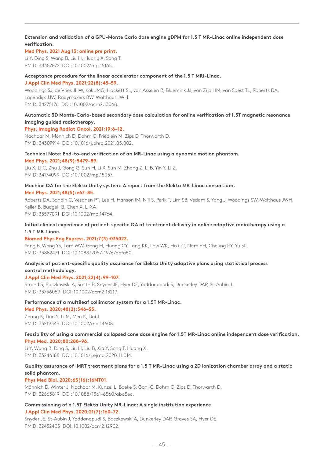# **Extension and validation of a GPU-Monte Carlo dose engine gDPM for 1.5 T MR-Linac online independent dose verification.**

# **Med Phys. 2021 Aug 13; online pre print.**

Li Y, Ding S, Wang B, Liu H, Huang X, Song T. PMID: 34387872 DOI: 10.1002/mp.15165.

# **Acceptance procedure for the linear accelerator component of the 1.5 T MRI-Linac.**

### **J Appl Clin Med Phys. 2021;22(8):45–59.**

Woodings SJ, de Vries JHW, Kok JMG, Hackett SL, van Asselen B, Bluemink JJ, van Zijp HM, van Soest TL, Roberts DA, Lagendijk JJW, Raaymakers BW, Wolthaus JWH. PMID: 34275176 DOI: 10.1002/acm2.13068.

# **Automatic 3D Monte-Carlo-based secondary dose calculation for online verification of 1.5T magnetic resonance imaging guided radiotherapy.**

# **Phys. Imaging Radiat Oncol. 2021;19:6–12.**

Nachbar M, Mönnich D, Dohm O, Friedlein M, Zips D, Thorwarth D. PMID: 34307914 DOI: 10.1016/j.phro.2021.05.002.

# **Technical Note: End-to-end verification of an MR-Linac using a dynamic motion phantom.**

### **Med Phys. 2021;48(9):5479–89.**

Liu X, Li C, Zhu J, Gong G, Sun H, Li X, Sun M, Zhang Z, Li B, Yin Y, Li Z. PMID: 34174099 DOI: 10.1002/mp.15057.

# **Machine QA for the Elekta Unity system: A report from the Elekta MR-Linac consortium.**

## **Med Phys. 2021;48(5):e67–85.**

Roberts DA, Sandin C, Vesanen PT, Lee H, Hanson IM, Nill S, Perik T, Lim SB, Vedam S, Yang J, Woodings SW, Wolthaus JWH, Keller B, Budgell G, Chen X, Li XA.

PMID: 33577091 DOI: 10.1002/mp.14764.

# **Initial clinical experience of patient-specific QA of treatment delivery in online adaptive radiotherapy using a 1.5 T MR-Linac.**

## **Biomed Phys Eng Express. 2021;7(3):035022.**

Yang B, Wong YS, Lam WW, Geng H, Huang CY, Tang KK, Law WK, Ho CC, Nam PH, Cheung KY, Yu SK. PMID: 33882471 DOI: 10.1088/2057-1976/abfa80.

# **Analysis of patient-specific quality assurance for Elekta Unity adaptive plans using statistical process control methodology.**

# **J Appl Clin Med Phys. 2021;22(4):99–107.**

Strand S, Boczkowski A, Smith B, Snyder JE, Hyer DE, Yaddanapudi S, Dunkerley DAP, St-Aubin J. PMID: 33756059 DOI: 10.1002/acm2.13219.

# **Performance of a multileaf collimator system for a 1.5T MR-Linac.**

## **Med Phys. 2020;48(2):546–55.**

Zhang K, Tian Y, Li M, Men K, Dai J. PMID: 33219549 DOI: 10.1002/mp.14608.

# **Feasibility of using a commercial collapsed cone dose engine for 1.5T MR-Linac online independent dose verification. Phys Med. 2020;80:288–96.**

Li Y, Wang B, Ding S, Liu H, Liu B, Xia Y, Song T, Huang X. PMID: 33246188 DOI: 10.1016/j.ejmp.2020.11.014.

# **Quality assurance of IMRT treatment plans for a 1.5 T MR-Linac using a 2D ionization chamber array and a static solid phantom.**

# **Phys Med Biol. 2020;65(16):16NT01.**

Mönnich D, Winter J, Nachbar M, Kunzel L, Boeke S, Gani C, Dohm O, Zips D, Thorwarth D. PMID: 32663819 DOI: 10.1088/1361-6560/aba5ec.

## **Commissioning of a 1.5T Elekta Unity MR-Linac: A single institution experience. J Appl Clin Med Phys. 2020;21(7):160–72.**

Snyder JE, St-Aubin J, Yaddanapudi S, Boczkowski A, Dunkerley DAP, Graves SA, Hyer DE. PMID: 32432405 DOI: 10.1002/acm2.12902.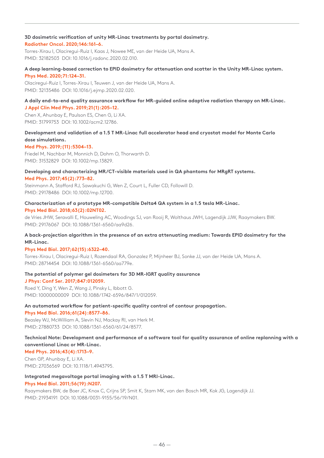## **3D dosimetric verification of unity MR-Linac treatments by portal dosimetry.**

## **Radiother Oncol. 2020;146:161–6.**

Torres-Xirau I, Olaciregui-Ruiz I, Kaas J, Nowee ME, van der Heide UA, Mans A. PMID: 32182503 DOI: 10.1016/j.radonc.2020.02.010.

# **A deep learning-based correction to EPID dosimetry for attenuation and scatter in the Unity MR-Linac system.**

#### **Phys Med. 2020;71:124–31.**

Olaciregui-Ruiz I, Torres-Xirau I, Teuwen J, van der Heide UA, Mans A. PMID: 32135486 DOI: 10.1016/j.ejmp.2020.02.020.

## **A daily end-to-end quality assurance workflow for MR-guided online adaptive radiation therapy on MR-Linac. J Appl Clin Med Phys. 2019;21(1):205–12.**

Chen X, Ahunbay E, Paulson ES, Chen G, Li XA. PMID: 31799753 DOI: 10.1002/acm2.12786.

# **Development and validation of a 1.5 T MR-Linac full accelerator head and cryostat model for Monte Carlo dose simulations.**

## **Med Phys. 2019;(11):5304–13.**

Friedel M, Nachbar M, Monnich D, Dohm O, Thorwarth D. PMID: 31532829 DOI: 10.1002/mp.13829.

# **Developing and characterizing MR/CT-visible materials used in QA phantoms for MRgRT systems.**

**Med Phys. 2017;45(2):773–82.**

Steinmann A, Stafford RJ, Sawakuchi G, Wen Z, Court L, Fuller CD, Followill D. PMID: 29178486 DOI: 10.1002/mp.12700.

# **Characterization of a prototype MR-compatible Delta4 QA system in a 1.5 tesla MR-Linac.**

### **Phys Med Biol. 2018;63(2):02NT02.**

de Vries JHW, Seravalli E, Houweling AC, Woodings SJ, van Rooij R, Wolthaus JWH, Lagendijk JJW, Raaymakers BW. PMID: 29176067 DOI: 10.1088/1361-6560/aa9d26.

# **A back-projection algorithm in the presence of an extra attenuating medium: Towards EPID dosimetry for the MR-Linac.**

## **Phys Med Biol. 2017;62(15):6322–40.**

Torres-Xirau I, Olaciregui-Ruiz I, Rozendaal RA, Gonzalez P, Mijnheer BJ, Sonke JJ, van der Heide UA, Mans A. PMID: 28714454 DOI: 10.1088/1361-6560/aa779e.

## **The potential of polymer gel dosimeters for 3D MR-IGRT quality assurance**

## **J Phys: Conf Ser. 2017;847:012059.**

Roed Y, Ding Y, Wen Z, Wang J, Pinsky L, Ibbott G. PMID: 10000000009 DOI: 10.1088/1742-6596/847/1/012059.

## **An automated workflow for patient-specific quality control of contour propagation.**

## **Phys Med Biol. 2016;61(24):8577–86.**

Beasley WJ, McWilliam A, Slevin NJ, Mackay RI, van Herk M. PMID: 27880733 DOI: 10.1088/1361-6560/61/24/8577.

# **Technical Note: Development and performance of a software tool for quality assurance of online replanning with a conventional Linac or MR-Linac.**

**Med Phys. 2016;43(4):1713–9.** Chen GP, Ahunbay E, Li XA. PMID: 27036569 DOI: 10.1118/1.4943795.

## **Integrated megavoltage portal imaging with a 1.5 T MRI-Linac.**

## **Phys Med Biol. 2011;56(19):N207.**

Raaymakers BW, de Boer JC, Knox C, Crijns SP, Smit K, Stam MK, van den Bosch MR, Kok JG, Lagendijk JJ. PMID: 21934191 DOI: 10.1088/0031-9155/56/19/N01.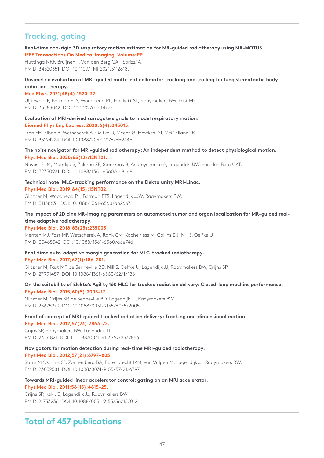# **Tracking, gating**

# **Real-time non-rigid 3D respiratory motion estimation for MR-guided radiotherapy using MR-MOTUS. IEEE Transactions On Medical Imaging, Volume:PP.**

Huttinga NRF, Bruijnen T, Van den Berg CAT, Sbrizzi A. PMID: 34520351 DOI: 10.1109/TMI.2021.3112818.

# **Dosimetric evaluation of MRI-guided multi-leaf collimator tracking and trailing for lung stereotactic body radiation therapy.**

# **Med Phys. 2021;48(4):1520–32.**

Uijtewaal P, Borman PTS, Woodhead PL, Hackett SL, Raaymakers BW, Fast MF. PMID: 33583042 DOI: 10.1002/mp.14772.

# **Evaluation of MRI-derived surrogate signals to model respiratory motion. Biomed Phys Eng Express. 2020;6(4):045015.**

Tran EH, Eiben B, Wetscherek A, Oelfke U, Meedt G, Hawkes DJ, McClelland JR. PMID: 33194224 DOI: 10.1088/2057-1976/ab944c.

## **The noise navigator for MRI-guided radiotherapy: An independent method to detect physiological motion. Phys Med Biol. 2020;65(12):12NT01.**

Navest RJM, Mandija S, Zijlema SE, Stemkens B, Andreychenko A, Lagendijk JJW, van den Berg CAT. PMID: 32330921 DOI: 10.1088/1361-6560/ab8cd8.

#### **Technical note: MLC-tracking performance on the Elekta unity MRI-Linac. Phys Med Biol. 2019;64(15):15NT02.**

Glitzner M, Woodhead PL, Borman PTS, Lagendijk JJW, Raaymakers BW. PMID: 31158831 DOI: 10.1088/1361-6560/ab2667.

# **The impact of 2D cine MR-imaging parameters on automated tumor and organ localization for MR-guided realtime adaptive radiotherapy.**

**Phys Med Biol. 2018;63(23):235005.**

Menten MJ, Fast MF, Wetscherek A, Rank CM, Kachelriess M, Collins DJ, Nill S, Oelfke U PMID: 30465542 DOI: 10.1088/1361-6560/aae74d

# **Real-time auto-adaptive margin generation for MLC-tracked radiotherapy.**

## **Phys Med Biol. 2017;62(1):186–201.**

Glitzner M, Fast MF, de Senneville BD, Nill S, Oelfke U, Lagendijk JJ, Raaymakers BW, Crijns SP. PMID: 27991457 DOI: 10.1088/1361-6560/62/1/186.

# **On the suitability of Elekta's Agility 160 MLC for tracked radiation delivery: Closed-loop machine performance. Phys Med Biol. 2015;60(5):2005–17.**

Glitzner M, Crijns SP, de Senneville BD, Lagendijk JJ, Raaymakers BW. PMID: 25675279 DOI: 10.1088/0031-9155/60/5/2005.

# **Proof of concept of MRI-guided tracked radiation delivery: Tracking one-dimensional motion.**

**Phys Med Biol. 2012;57(23):7863–72.** Crijns SP, Raaymakers BW, Lagendijk JJ. PMID: 23151821 DOI: 10.1088/0031-9155/57/23/7863.

# **Navigators for motion detection during real-time MRI-guided radiotherapy.**

## **Phys Med Biol. 2012;57(21):6797–805.**

Stam MK, Crijns SP, Zonnenberg BA, Barendrecht MM, van Vulpen M, Lagendijk JJ, Raaymakers BW. PMID: 23032581 DOI: 10.1088/0031-9155/57/21/6797.

# **Towards MRI-guided linear accelerator control: gating on an MRI accelerator.**

## **Phys Med Biol. 2011;56(15):4815–25.**

Crijns SP, Kok JG, Lagendijk JJ, Raaymakers BW. PMID: 21753236 DOI: 10.1088/0031-9155/56/15/012.

# **Total of 457 publications**